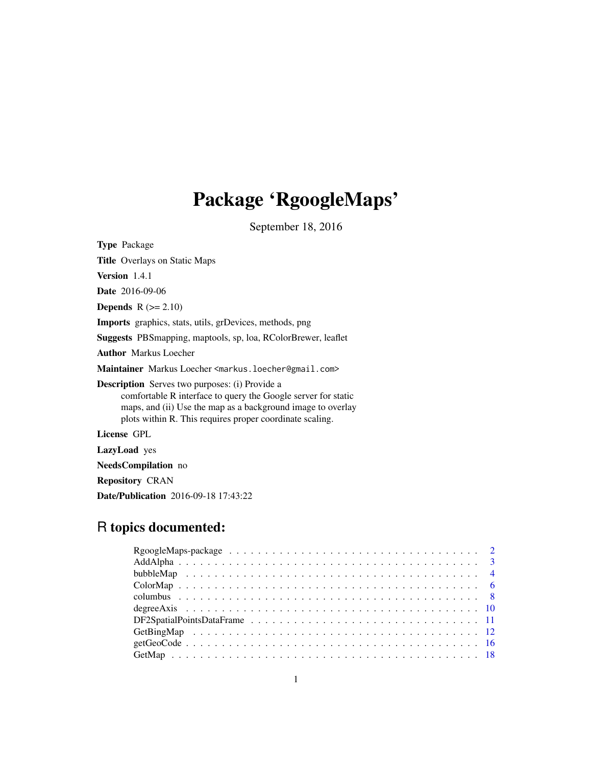# Package 'RgoogleMaps'

September 18, 2016

<span id="page-0-0"></span>

| <b>Type Package</b>                                                                                                                                                                                                                               |
|---------------------------------------------------------------------------------------------------------------------------------------------------------------------------------------------------------------------------------------------------|
| <b>Title Overlays on Static Maps</b>                                                                                                                                                                                                              |
| <b>Version</b> $1.4.1$                                                                                                                                                                                                                            |
| <b>Date</b> 2016-09-06                                                                                                                                                                                                                            |
| <b>Depends</b> $R (= 2.10)$                                                                                                                                                                                                                       |
| <b>Imports</b> graphics, stats, utils, grDevices, methods, png                                                                                                                                                                                    |
| <b>Suggests</b> PBS mapping, maptools, sp, loa, RColorBrewer, leaflet                                                                                                                                                                             |
| <b>Author</b> Markus Loecher                                                                                                                                                                                                                      |
| Maintainer Markus Loecher <markus.loecher@gmail.com></markus.loecher@gmail.com>                                                                                                                                                                   |
| <b>Description</b> Serves two purposes: (i) Provide a<br>comfortable R interface to query the Google server for static<br>maps, and (ii) Use the map as a background image to overlay<br>plots within R. This requires proper coordinate scaling. |
| License GPL                                                                                                                                                                                                                                       |
| <b>LazyLoad</b> yes                                                                                                                                                                                                                               |
| <b>NeedsCompilation</b> no                                                                                                                                                                                                                        |
| <b>Repository CRAN</b>                                                                                                                                                                                                                            |

Date/Publication 2016-09-18 17:43:22

# R topics documented: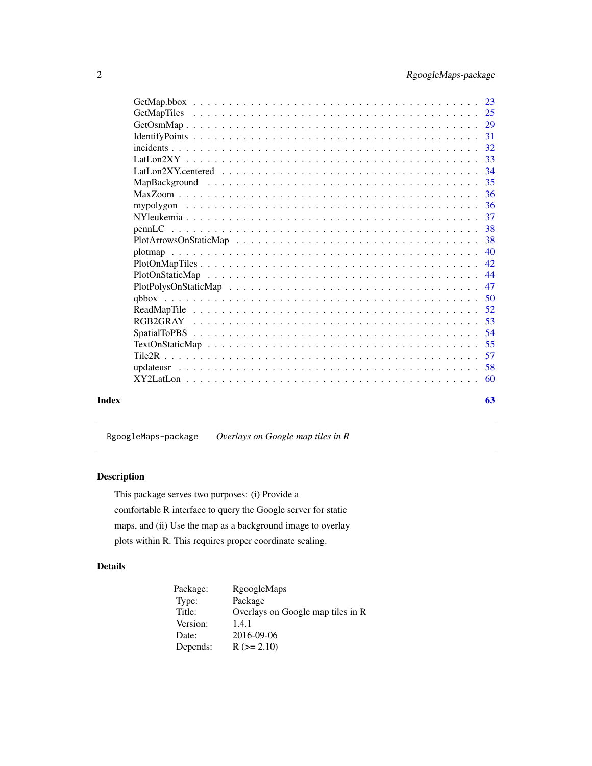<span id="page-1-0"></span>

|       | -31 |
|-------|-----|
|       |     |
|       |     |
|       | 34  |
|       |     |
|       | -36 |
|       | 36  |
|       | 37  |
|       | 38  |
|       | 38  |
|       | 40  |
|       |     |
|       | 44  |
|       | 47  |
|       | 50  |
|       | 52  |
|       | 53  |
|       | -54 |
|       | 55  |
|       | 57  |
|       |     |
|       | -60 |
| Index | 63  |

RgoogleMaps-package *Overlays on Google map tiles in R*

### Description

This package serves two purposes: (i) Provide a comfortable R interface to query the Google server for static maps, and (ii) Use the map as a background image to overlay plots within R. This requires proper coordinate scaling.

### Details

| Package: | RgoogleMaps                       |
|----------|-----------------------------------|
| Type:    | Package                           |
| Title:   | Overlays on Google map tiles in R |
| Version: | 1.4.1                             |
| Date:    | 2016-09-06                        |
| Depends: | $R (= 2.10)$                      |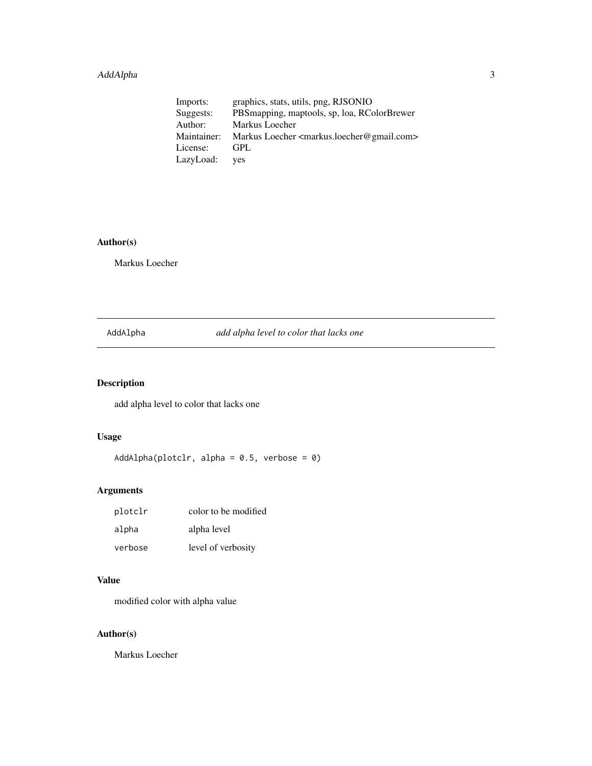### <span id="page-2-0"></span>AddAlpha 3

| Imports:    | graphics, stats, utils, png, RJSONIO                                 |
|-------------|----------------------------------------------------------------------|
| Suggests:   | PBSmapping, maptools, sp, loa, RColorBrewer                          |
| Author:     | Markus Loecher                                                       |
| Maintainer: | Markus Loecher <markus.loecher@gmail.com></markus.loecher@gmail.com> |
| License:    | <b>GPL</b>                                                           |
| LazyLoad:   | <b>ves</b>                                                           |

### Author(s)

Markus Loecher

AddAlpha *add alpha level to color that lacks one*

### Description

add alpha level to color that lacks one

### Usage

AddAlpha(plotclr, alpha =  $0.5$ , verbose =  $0$ )

### Arguments

| plotclr | color to be modified |
|---------|----------------------|
| alpha   | alpha level          |
| verbose | level of verbosity   |

### Value

modified color with alpha value

### Author(s)

Markus Loecher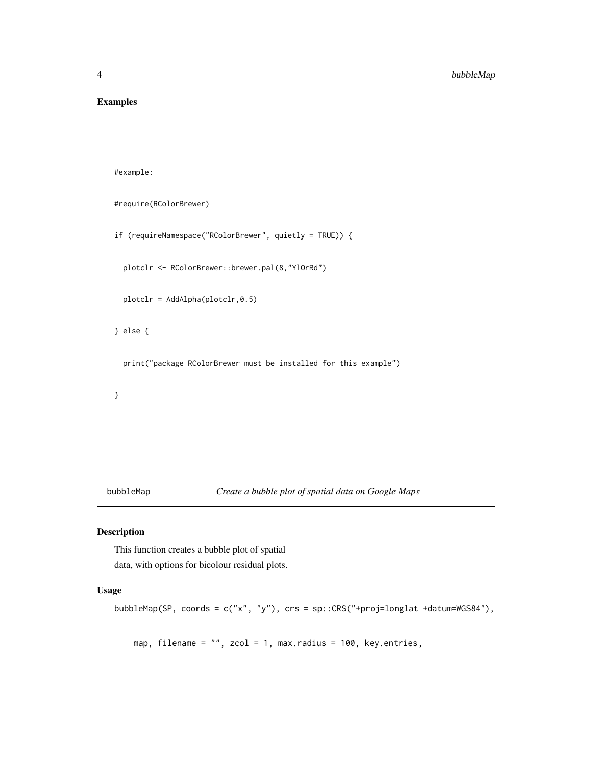### <span id="page-3-0"></span>Examples

#example:

```
#require(RColorBrewer)
```

```
if (requireNamespace("RColorBrewer", quietly = TRUE)) {
```
plotclr <- RColorBrewer::brewer.pal(8,"YlOrRd")

plotclr = AddAlpha(plotclr,0.5)

} else {

print("package RColorBrewer must be installed for this example")

}

bubbleMap *Create a bubble plot of spatial data on Google Maps*

### Description

This function creates a bubble plot of spatial data, with options for bicolour residual plots.

### Usage

```
bubbleMap(SP, coords = c("x", "y"), crs = sp::CRS("+proj=longlat +datum=WGS84"),
```
map, filename = "", zcol = 1, max.radius = 100, key.entries,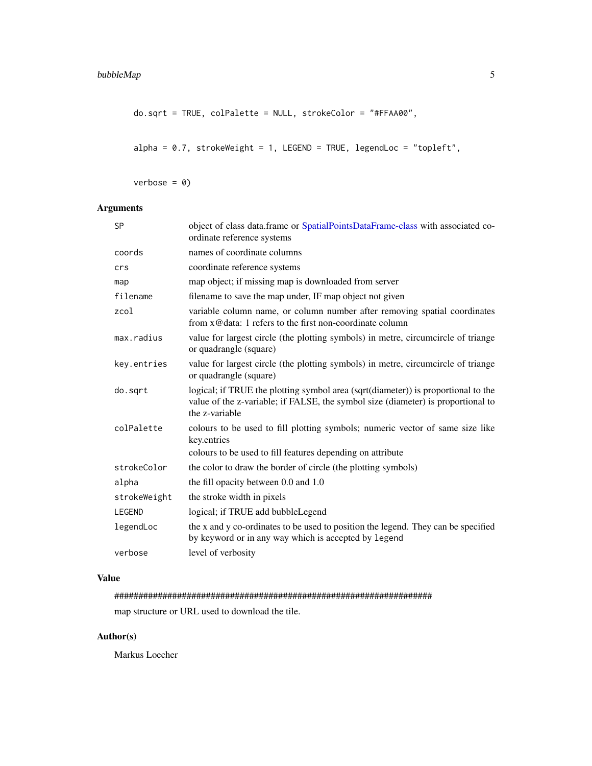```
do.sqrt = TRUE, colPalette = NULL, strokeColor = "#FFAA00",
```

```
alpha = 0.7, strokeWeight = 1, LEGEND = TRUE, legendLoc = "topleft",
```
 $verbose = 0)$ 

### Arguments

| <b>SP</b>     | object of class data.frame or SpatialPointsDataFrame-class with associated co-<br>ordinate reference systems                                                                            |
|---------------|-----------------------------------------------------------------------------------------------------------------------------------------------------------------------------------------|
| coords        | names of coordinate columns                                                                                                                                                             |
| crs           | coordinate reference systems                                                                                                                                                            |
| map           | map object; if missing map is downloaded from server                                                                                                                                    |
| filename      | filename to save the map under, IF map object not given                                                                                                                                 |
| zcol          | variable column name, or column number after removing spatial coordinates<br>from x@data: 1 refers to the first non-coordinate column                                                   |
| max.radius    | value for largest circle (the plotting symbols) in metre, circumcircle of triange<br>or quadrangle (square)                                                                             |
| key.entries   | value for largest circle (the plotting symbols) in metre, circumcircle of triange<br>or quadrangle (square)                                                                             |
| do.sqrt       | logical; if TRUE the plotting symbol area (sqrt(diameter)) is proportional to the<br>value of the z-variable; if FALSE, the symbol size (diameter) is proportional to<br>the z-variable |
| colPalette    | colours to be used to fill plotting symbols; numeric vector of same size like<br>key.entries<br>colours to be used to fill features depending on attribute                              |
| strokeColor   | the color to draw the border of circle (the plotting symbols)                                                                                                                           |
| alpha         | the fill opacity between 0.0 and 1.0                                                                                                                                                    |
| strokeWeight  | the stroke width in pixels                                                                                                                                                              |
| <b>LEGEND</b> | logical; if TRUE add bubbleLegend                                                                                                                                                       |
| legendLoc     | the x and y co-ordinates to be used to position the legend. They can be specified<br>by keyword or in any way which is accepted by legend                                               |
| verbose       | level of verbosity                                                                                                                                                                      |

### Value

################################################################## map structure or URL used to download the tile.

### Author(s)

Markus Loecher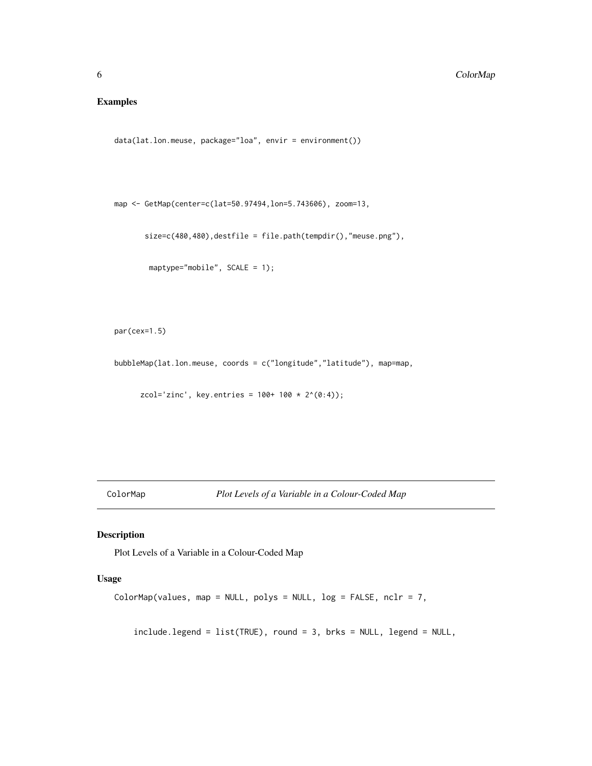### <span id="page-5-0"></span>Examples

```
data(lat.lon.meuse, package="loa", envir = environment())
```

```
map <- GetMap(center=c(lat=50.97494,lon=5.743606), zoom=13,
```
size=c(480,480),destfile = file.path(tempdir(),"meuse.png"),

```
maptype="mobile", SCALE = 1);
```

```
par(cex=1.5)
```
bubbleMap(lat.lon.meuse, coords = c("longitude","latitude"), map=map,

zcol='zinc', key.entries =  $100 + 100 \times 2^(0.4)$ ;

ColorMap *Plot Levels of a Variable in a Colour-Coded Map*

### Description

Plot Levels of a Variable in a Colour-Coded Map

### Usage

```
ColorMap(values, map = NULL, polys = NULL, log = FALSE, nclr = 7,
```
include.legend = list(TRUE), round = 3, brks = NULL, legend = NULL,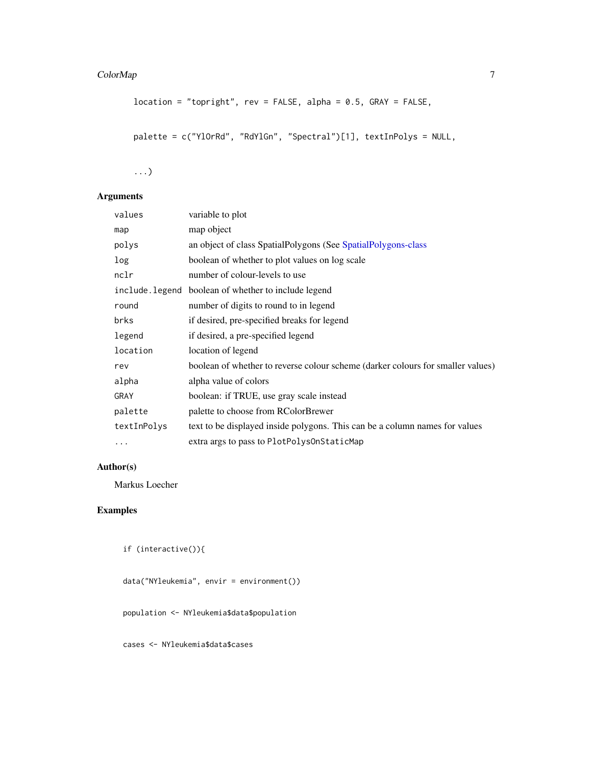### <span id="page-6-0"></span>ColorMap 7

```
location = "topright", rev = FALSE, alpha = 0.5, GRAY = FALSE,palette = c("YlOrRd", "RdYlGn", "Spectral")[1], textInPolys = NULL,
```
...)

### Arguments

| values      | variable to plot                                                                |
|-------------|---------------------------------------------------------------------------------|
| map         | map object                                                                      |
| polys       | an object of class SpatialPolygons (See SpatialPolygons-class                   |
| log         | boolean of whether to plot values on log scale                                  |
| nclr        | number of colour-levels to use                                                  |
|             | include. legend boolean of whether to include legend                            |
| round       | number of digits to round to in legend                                          |
| brks        | if desired, pre-specified breaks for legend                                     |
| legend      | if desired, a pre-specified legend                                              |
| location    | location of legend                                                              |
| rev         | boolean of whether to reverse colour scheme (darker colours for smaller values) |
| alpha       | alpha value of colors                                                           |
| GRAY        | boolean: if TRUE, use gray scale instead                                        |
| palette     | palette to choose from RColorBrewer                                             |
| textInPolys | text to be displayed inside polygons. This can be a column names for values     |
| $\cdots$    | extra args to pass to PlotPolysOnStaticMap                                      |
|             |                                                                                 |

### Author(s)

Markus Loecher

### Examples

```
if (interactive()){
```
data("NYleukemia", envir = environment())

population <- NYleukemia\$data\$population

cases <- NYleukemia\$data\$cases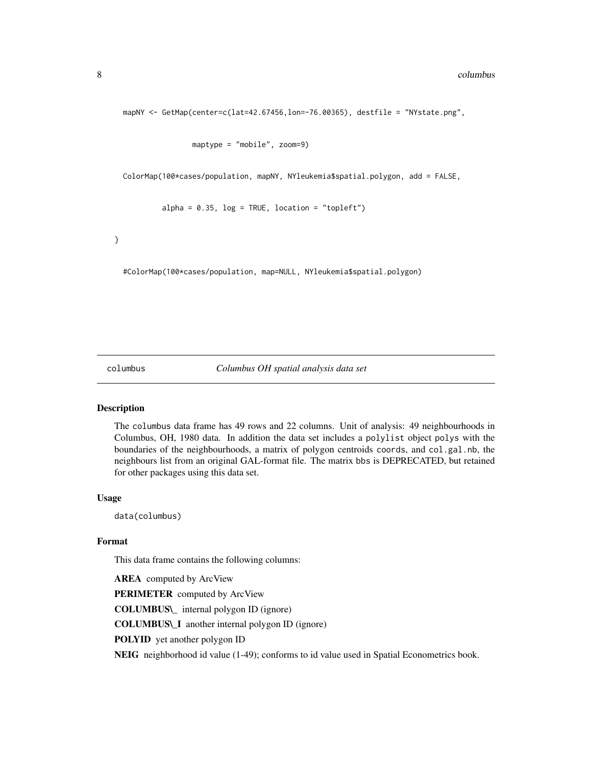```
mapNY <- GetMap(center=c(lat=42.67456,lon=-76.00365), destfile = "NYstate.png",
```

```
maptype = "mobile", zoom=9)
```
ColorMap(100\*cases/population, mapNY, NYleukemia\$spatial.polygon, add = FALSE,

 $alpha = 0.35$ ,  $log = TRUE$ ,  $location = "topleft")$ 

}

#ColorMap(100\*cases/population, map=NULL, NYleukemia\$spatial.polygon)

#### columbus *Columbus OH spatial analysis data set*

#### Description

The columbus data frame has 49 rows and 22 columns. Unit of analysis: 49 neighbourhoods in Columbus, OH, 1980 data. In addition the data set includes a polylist object polys with the boundaries of the neighbourhoods, a matrix of polygon centroids coords, and col.gal.nb, the neighbours list from an original GAL-format file. The matrix bbs is DEPRECATED, but retained for other packages using this data set.

#### Usage

data(columbus)

#### Format

This data frame contains the following columns:

**AREA** computed by ArcView PERIMETER computed by ArcView COLUMBUS\\_ internal polygon ID (ignore) COLUMBUS\\_I another internal polygon ID (ignore) POLYID yet another polygon ID NEIG neighborhood id value (1-49); conforms to id value used in Spatial Econometrics book.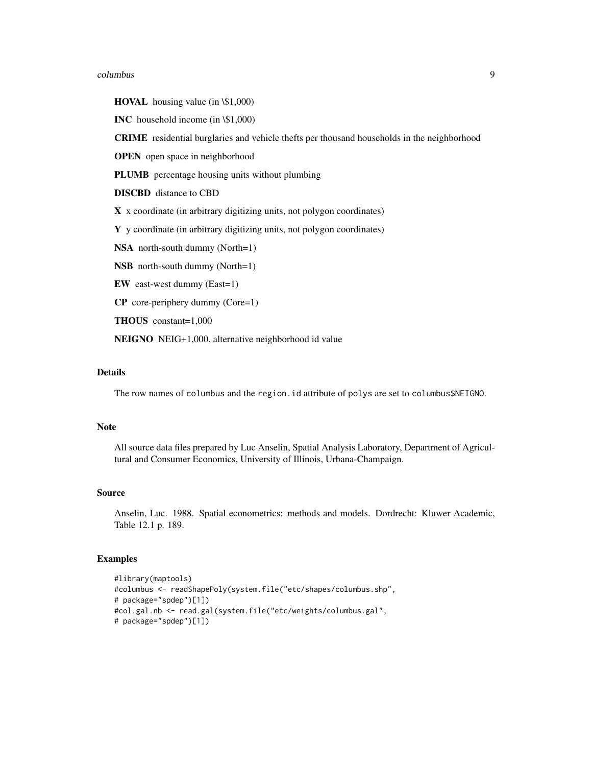#### columbus 9

HOVAL housing value (in \\$1,000)

INC household income (in \\$1,000)

CRIME residential burglaries and vehicle thefts per thousand households in the neighborhood

OPEN open space in neighborhood

PLUMB percentage housing units without plumbing

DISCBD distance to CBD

X x coordinate (in arbitrary digitizing units, not polygon coordinates)

Y y coordinate (in arbitrary digitizing units, not polygon coordinates)

NSA north-south dummy (North=1)

NSB north-south dummy (North=1)

EW east-west dummy (East=1)

CP core-periphery dummy (Core=1)

THOUS constant=1,000

NEIGNO NEIG+1,000, alternative neighborhood id value

### Details

The row names of columbus and the region.id attribute of polys are set to columbus\$NEIGNO.

#### Note

All source data files prepared by Luc Anselin, Spatial Analysis Laboratory, Department of Agricultural and Consumer Economics, University of Illinois, Urbana-Champaign.

#### Source

Anselin, Luc. 1988. Spatial econometrics: methods and models. Dordrecht: Kluwer Academic, Table 12.1 p. 189.

### Examples

```
#library(maptools)
#columbus <- readShapePoly(system.file("etc/shapes/columbus.shp",
# package="spdep")[1])
#col.gal.nb <- read.gal(system.file("etc/weights/columbus.gal",
# package="spdep")[1])
```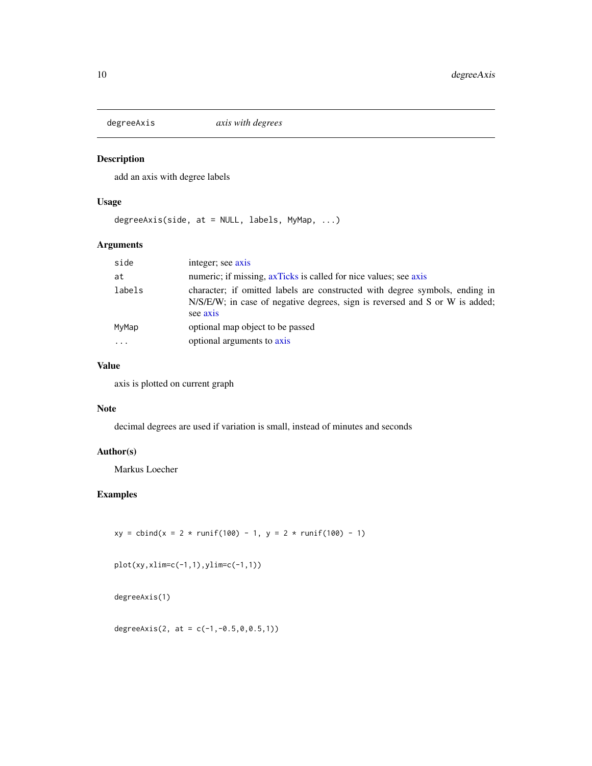<span id="page-9-0"></span>

add an axis with degree labels

### Usage

degreeAxis(side, at = NULL, labels, MyMap, ...)

### Arguments

| side   | integer; see axis                                                                                                                                                      |
|--------|------------------------------------------------------------------------------------------------------------------------------------------------------------------------|
| at     | numeric; if missing, ax Ticks is called for nice values; see axis                                                                                                      |
| labels | character; if omitted labels are constructed with degree symbols, ending in<br>N/S/E/W; in case of negative degrees, sign is reversed and S or W is added;<br>see axis |
| MyMap  | optional map object to be passed                                                                                                                                       |
|        | optional arguments to axis                                                                                                                                             |

### Value

axis is plotted on current graph

### Note

decimal degrees are used if variation is small, instead of minutes and seconds

#### Author(s)

Markus Loecher

### Examples

 $xy = \text{cbind}(x = 2 * \text{runif}(100) - 1, y = 2 * \text{runif}(100) - 1)$ 

plot(xy,xlim=c(-1,1),ylim=c(-1,1))

degreeAxis(1)

degreeAxis(2, at =  $c(-1, -0.5, 0, 0.5, 1)$ )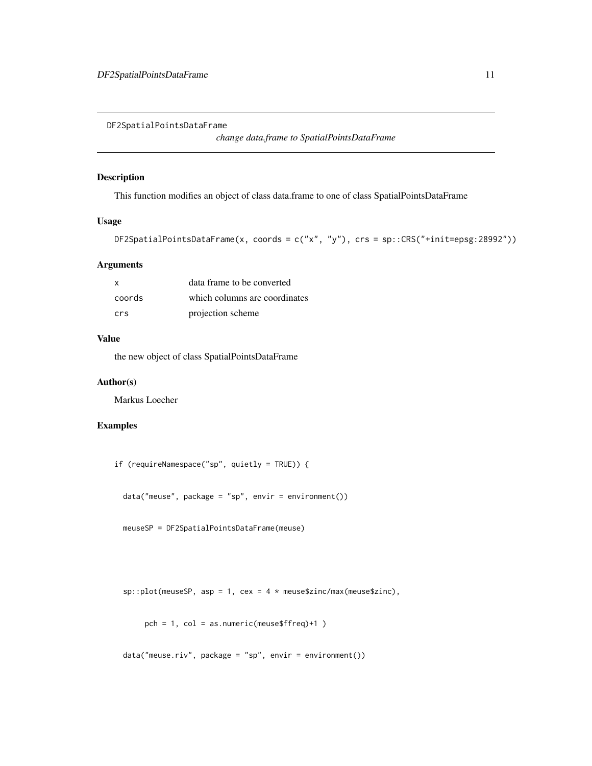<span id="page-10-0"></span>DF2SpatialPointsDataFrame

*change data.frame to SpatialPointsDataFrame*

#### Description

This function modifies an object of class data.frame to one of class SpatialPointsDataFrame

#### Usage

```
DF2SpatialPointsDataFrame(x, coords = c("x", "y"), crs = sp::CRS("+init=epsg:28992"))
```
#### Arguments

| x      | data frame to be converted    |
|--------|-------------------------------|
| coords | which columns are coordinates |
| crs    | projection scheme             |

### Value

the new object of class SpatialPointsDataFrame

### Author(s)

Markus Loecher

### Examples

```
if (requireNamespace("sp", quietly = TRUE)) {
```
data("meuse", package = "sp", envir = environment())

meuseSP = DF2SpatialPointsDataFrame(meuse)

 $sp::plot(meuseSP, asp = 1, cex = 4 * meuse$zinc/max(meuse$zinc),$ 

```
pch = 1, col = as.numeric(meuse$ffreq)+1 )
```

```
data("meuse.riv", package = "sp", envir = environment())
```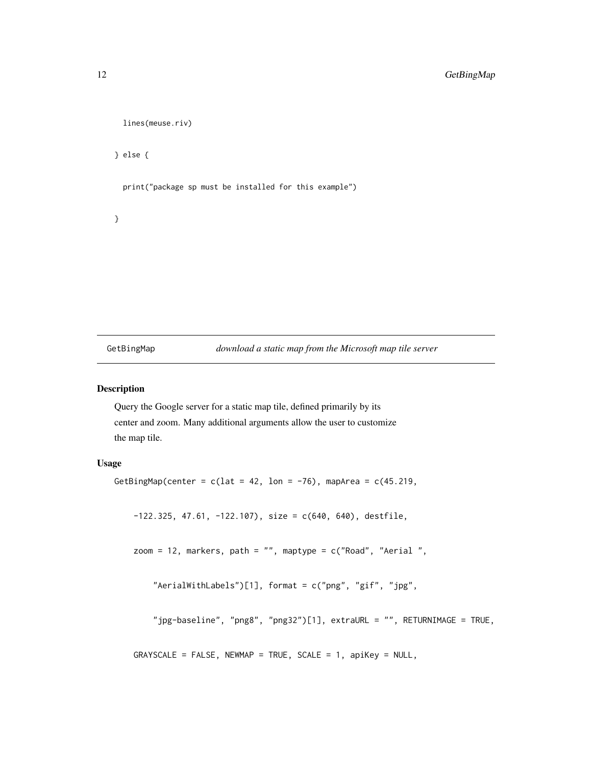```
lines(meuse.riv)
} else {
 print("package sp must be installed for this example")
```
GetBingMap *download a static map from the Microsoft map tile server*

#### Description

}

Query the Google server for a static map tile, defined primarily by its center and zoom. Many additional arguments allow the user to customize the map tile.

### Usage

```
GetBingMap(center = c(lat = 42, lon = -76), mapArea = c(45.219,
```
 $-122.325$ , 47.61,  $-122.107$ ), size = c(640, 640), destfile,

zoom = 12, markers, path = "", maptype = c("Road", "Aerial ",

```
"AerialWithLabels")[1], format = c("png", "gif", "jpg",
```
"jpg-baseline", "png8", "png32")[1], extraURL = "", RETURNIMAGE = TRUE,

```
GRAYSCALE = FALSE, NEWMAP = TRUE, SCALE = 1, apiKey = NULL,
```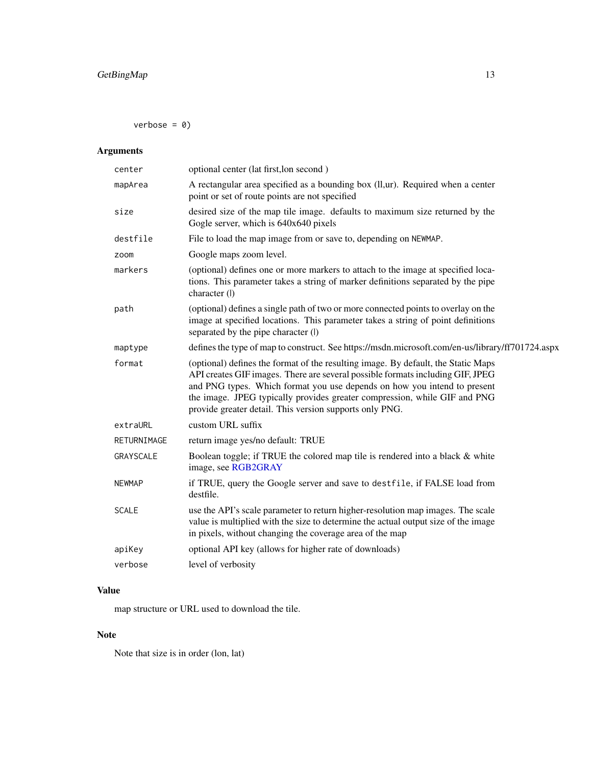<span id="page-12-0"></span> $verbose = 0$ 

## Arguments

| center        | optional center (lat first, lon second)                                                                                                                                                                                                                                                                                                                                                 |
|---------------|-----------------------------------------------------------------------------------------------------------------------------------------------------------------------------------------------------------------------------------------------------------------------------------------------------------------------------------------------------------------------------------------|
| mapArea       | A rectangular area specified as a bounding box (ll,ur). Required when a center<br>point or set of route points are not specified                                                                                                                                                                                                                                                        |
| size          | desired size of the map tile image. defaults to maximum size returned by the<br>Gogle server, which is 640x640 pixels                                                                                                                                                                                                                                                                   |
| destfile      | File to load the map image from or save to, depending on NEWMAP.                                                                                                                                                                                                                                                                                                                        |
| zoom          | Google maps zoom level.                                                                                                                                                                                                                                                                                                                                                                 |
| markers       | (optional) defines one or more markers to attach to the image at specified loca-<br>tions. This parameter takes a string of marker definitions separated by the pipe<br>character (l)                                                                                                                                                                                                   |
| path          | (optional) defines a single path of two or more connected points to overlay on the<br>image at specified locations. This parameter takes a string of point definitions<br>separated by the pipe character (I)                                                                                                                                                                           |
| maptype       | defines the type of map to construct. See https://msdn.microsoft.com/en-us/library/ff701724.aspx                                                                                                                                                                                                                                                                                        |
| format        | (optional) defines the format of the resulting image. By default, the Static Maps<br>API creates GIF images. There are several possible formats including GIF, JPEG<br>and PNG types. Which format you use depends on how you intend to present<br>the image. JPEG typically provides greater compression, while GIF and PNG<br>provide greater detail. This version supports only PNG. |
| extraURL      | custom URL suffix                                                                                                                                                                                                                                                                                                                                                                       |
| RETURNIMAGE   | return image yes/no default: TRUE                                                                                                                                                                                                                                                                                                                                                       |
| GRAYSCALE     | Boolean toggle; if TRUE the colored map tile is rendered into a black & white<br>image, see RGB2GRAY                                                                                                                                                                                                                                                                                    |
| <b>NEWMAP</b> | if TRUE, query the Google server and save to destfile, if FALSE load from<br>destfile.                                                                                                                                                                                                                                                                                                  |
| <b>SCALE</b>  | use the API's scale parameter to return higher-resolution map images. The scale<br>value is multiplied with the size to determine the actual output size of the image<br>in pixels, without changing the coverage area of the map                                                                                                                                                       |
| apiKey        | optional API key (allows for higher rate of downloads)                                                                                                                                                                                                                                                                                                                                  |
| verbose       | level of verbosity                                                                                                                                                                                                                                                                                                                                                                      |
|               |                                                                                                                                                                                                                                                                                                                                                                                         |

### Value

map structure or URL used to download the tile.

### Note

Note that size is in order (lon, lat)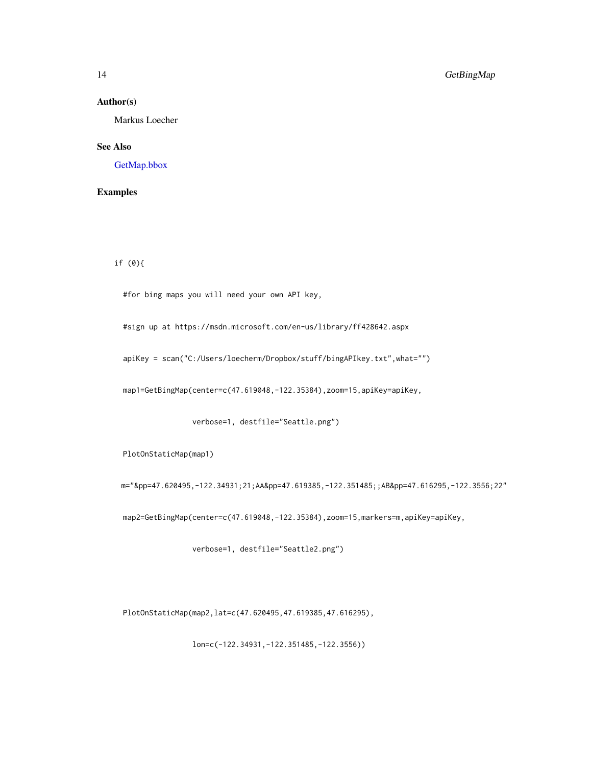#### Author(s)

Markus Loecher

### See Also

[GetMap.bbox](#page-22-1)

### Examples

if (0){

#for bing maps you will need your own API key,

#sign up at https://msdn.microsoft.com/en-us/library/ff428642.aspx

apiKey = scan("C:/Users/loecherm/Dropbox/stuff/bingAPIkey.txt",what="")

map1=GetBingMap(center=c(47.619048,-122.35384),zoom=15,apiKey=apiKey,

verbose=1, destfile="Seattle.png")

PlotOnStaticMap(map1)

m="&pp=47.620495,-122.34931;21;AA&pp=47.619385,-122.351485;;AB&pp=47.616295,-122.3556;22"

map2=GetBingMap(center=c(47.619048,-122.35384),zoom=15,markers=m,apiKey=apiKey,

verbose=1, destfile="Seattle2.png")

PlotOnStaticMap(map2,lat=c(47.620495,47.619385,47.616295),

lon=c(-122.34931,-122.351485,-122.3556))

<span id="page-13-0"></span>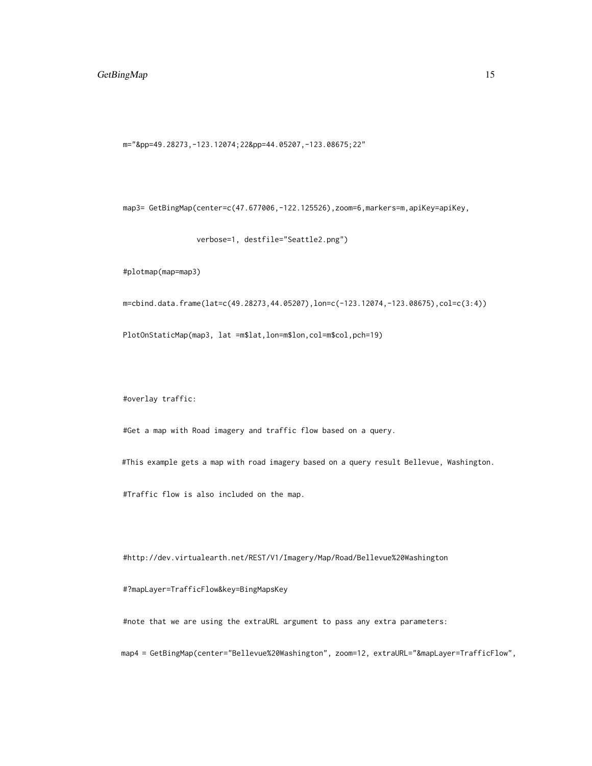### GetBingMap 15

m="&pp=49.28273,-123.12074;22&pp=44.05207,-123.08675;22"

map3= GetBingMap(center=c(47.677006,-122.125526),zoom=6,markers=m,apiKey=apiKey,

verbose=1, destfile="Seattle2.png")

#plotmap(map=map3)

m=cbind.data.frame(lat=c(49.28273,44.05207),lon=c(-123.12074,-123.08675),col=c(3:4))

PlotOnStaticMap(map3, lat =m\$lat,lon=m\$lon,col=m\$col,pch=19)

#overlay traffic:

#Get a map with Road imagery and traffic flow based on a query.

#This example gets a map with road imagery based on a query result Bellevue, Washington.

#Traffic flow is also included on the map.

#http://dev.virtualearth.net/REST/V1/Imagery/Map/Road/Bellevue%20Washington

#### #?mapLayer=TrafficFlow&key=BingMapsKey

#note that we are using the extraURL argument to pass any extra parameters:

map4 = GetBingMap(center="Bellevue%20Washington", zoom=12, extraURL="&mapLayer=TrafficFlow",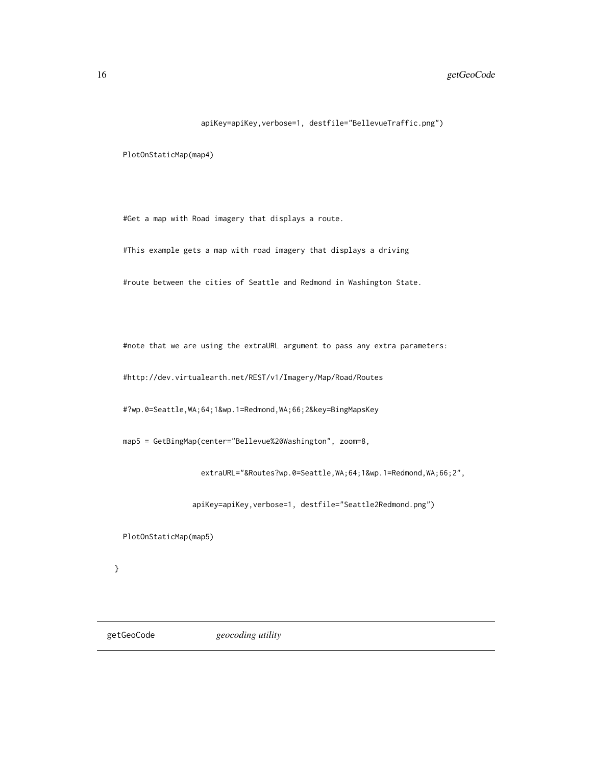### <span id="page-15-0"></span>16 getGeoCode

#### apiKey=apiKey,verbose=1, destfile="BellevueTraffic.png")

PlotOnStaticMap(map4)

#Get a map with Road imagery that displays a route.

#This example gets a map with road imagery that displays a driving

#route between the cities of Seattle and Redmond in Washington State.

#note that we are using the extraURL argument to pass any extra parameters:

#http://dev.virtualearth.net/REST/v1/Imagery/Map/Road/Routes

#?wp.0=Seattle,WA;64;1&wp.1=Redmond,WA;66;2&key=BingMapsKey

map5 = GetBingMap(center="Bellevue%20Washington", zoom=8,

extraURL="&Routes?wp.0=Seattle,WA;64;1&wp.1=Redmond,WA;66;2",

apiKey=apiKey,verbose=1, destfile="Seattle2Redmond.png")

PlotOnStaticMap(map5)

}

getGeoCode *geocoding utility*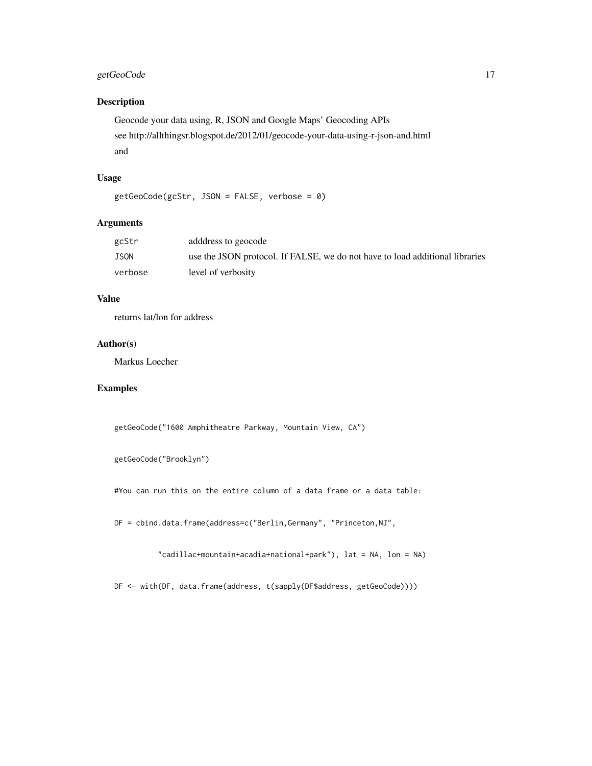### getGeoCode 17

### Description

```
Geocode your data using, R, JSON and Google Maps' Geocoding APIs
see http://allthingsr.blogspot.de/2012/01/geocode-your-data-using-r-json-and.html
and
```
### Usage

getGeoCode(gcStr, JSON = FALSE, verbose = 0)

### Arguments

| gcStr   | adddress to geocode                                                          |
|---------|------------------------------------------------------------------------------|
| JSON    | use the JSON protocol. If FALSE, we do not have to load additional libraries |
| verbose | level of verbosity                                                           |

### Value

returns lat/lon for address

#### Author(s)

Markus Loecher

### Examples

getGeoCode("1600 Amphitheatre Parkway, Mountain View, CA")

```
getGeoCode("Brooklyn")
```
#You can run this on the entire column of a data frame or a data table:

DF = cbind.data.frame(address=c("Berlin,Germany", "Princeton,NJ",

"cadillac+mountain+acadia+national+park"), lat = NA, lon = NA)

DF <- with(DF, data.frame(address, t(sapply(DF\$address, getGeoCode))))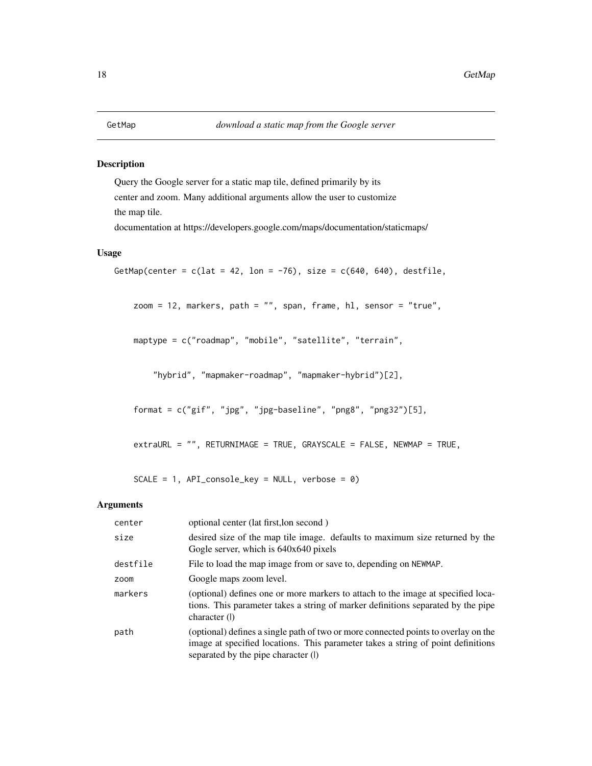<span id="page-17-1"></span><span id="page-17-0"></span>Query the Google server for a static map tile, defined primarily by its center and zoom. Many additional arguments allow the user to customize the map tile.

documentation at https://developers.google.com/maps/documentation/staticmaps/

#### Usage

```
GetMap(center = c(lat = 42, lon = -76), size = c(640, 640), destfile,
    zoom = 12, markers, path = "", span, frame, hl, sensor = "true",
   maptype = c("roadmap", "mobile", "satellite", "terrain",
        "hybrid", "mapmaker-roadmap", "mapmaker-hybrid")[2],
    format = c("gif", "jpg", "jpg-baseline", "png8", "png32")[5],
    extraURL = "", RETURNIMAGE = TRUE, GRAYSCALE = FALSE, NEWMAP = TRUE,
```
 $SCALE = 1$ ,  $API\_console\_key = NULL$ , verbose = 0)

#### Arguments

| center   | optional center (lat first, lon second)                                                                                                                                                                       |  |
|----------|---------------------------------------------------------------------------------------------------------------------------------------------------------------------------------------------------------------|--|
| size     | desired size of the map tile image. defaults to maximum size returned by the<br>Gogle server, which is 640x640 pixels                                                                                         |  |
| destfile | File to load the map image from or save to, depending on NEWMAP.                                                                                                                                              |  |
| zoom     | Google maps zoom level.                                                                                                                                                                                       |  |
| markers  | (optional) defines one or more markers to attach to the image at specified loca-<br>tions. This parameter takes a string of marker definitions separated by the pipe<br>character (I)                         |  |
| path     | (optional) defines a single path of two or more connected points to overlay on the<br>image at specified locations. This parameter takes a string of point definitions<br>separated by the pipe character (I) |  |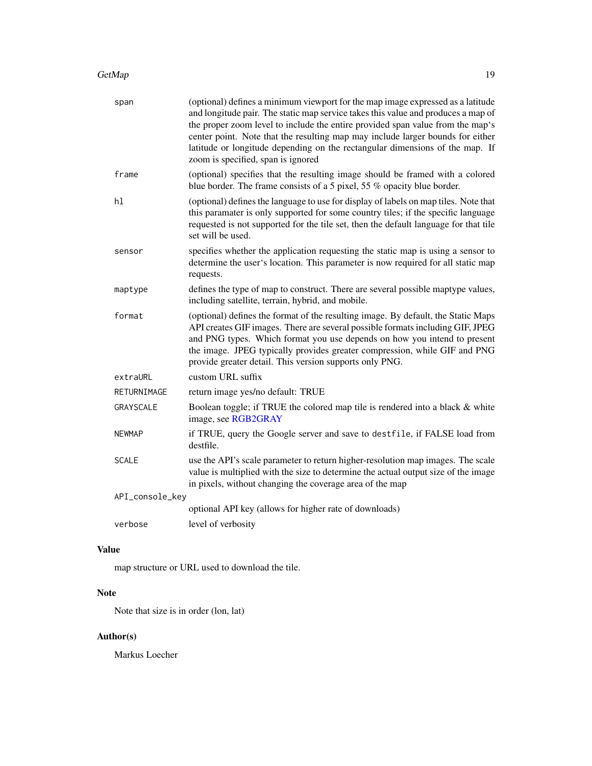<span id="page-18-0"></span>

| span            | (optional) defines a minimum viewport for the map image expressed as a latitude<br>and longitude pair. The static map service takes this value and produces a map of<br>the proper zoom level to include the entire provided span value from the map's<br>center point. Note that the resulting map may include larger bounds for either<br>latitude or longitude depending on the rectangular dimensions of the map. If<br>zoom is specified, span is ignored |
|-----------------|----------------------------------------------------------------------------------------------------------------------------------------------------------------------------------------------------------------------------------------------------------------------------------------------------------------------------------------------------------------------------------------------------------------------------------------------------------------|
| frame           | (optional) specifies that the resulting image should be framed with a colored<br>blue border. The frame consists of a 5 pixel, 55 % opacity blue border.                                                                                                                                                                                                                                                                                                       |
| hl              | (optional) defines the language to use for display of labels on map tiles. Note that<br>this paramater is only supported for some country tiles; if the specific language<br>requested is not supported for the tile set, then the default language for that tile<br>set will be used.                                                                                                                                                                         |
| sensor          | specifies whether the application requesting the static map is using a sensor to<br>determine the user's location. This parameter is now required for all static map<br>requests.                                                                                                                                                                                                                                                                              |
| maptype         | defines the type of map to construct. There are several possible maptype values,<br>including satellite, terrain, hybrid, and mobile.                                                                                                                                                                                                                                                                                                                          |
| format          | (optional) defines the format of the resulting image. By default, the Static Maps<br>API creates GIF images. There are several possible formats including GIF, JPEG<br>and PNG types. Which format you use depends on how you intend to present<br>the image. JPEG typically provides greater compression, while GIF and PNG<br>provide greater detail. This version supports only PNG.                                                                        |
| extraURL        | custom URL suffix                                                                                                                                                                                                                                                                                                                                                                                                                                              |
| RETURNIMAGE     | return image yes/no default: TRUE                                                                                                                                                                                                                                                                                                                                                                                                                              |
| GRAYSCALE       | Boolean toggle; if TRUE the colored map tile is rendered into a black & white<br>image, see RGB2GRAY                                                                                                                                                                                                                                                                                                                                                           |
| <b>NEWMAP</b>   | if TRUE, query the Google server and save to destfile, if FALSE load from<br>destfile.                                                                                                                                                                                                                                                                                                                                                                         |
| <b>SCALE</b>    | use the API's scale parameter to return higher-resolution map images. The scale<br>value is multiplied with the size to determine the actual output size of the image<br>in pixels, without changing the coverage area of the map                                                                                                                                                                                                                              |
| API_console_key |                                                                                                                                                                                                                                                                                                                                                                                                                                                                |
|                 | optional API key (allows for higher rate of downloads)                                                                                                                                                                                                                                                                                                                                                                                                         |
| verbose         | level of verbosity                                                                                                                                                                                                                                                                                                                                                                                                                                             |

### Value

map structure or URL used to download the tile.

### Note

Note that size is in order (lon, lat)

### Author(s)

Markus Loecher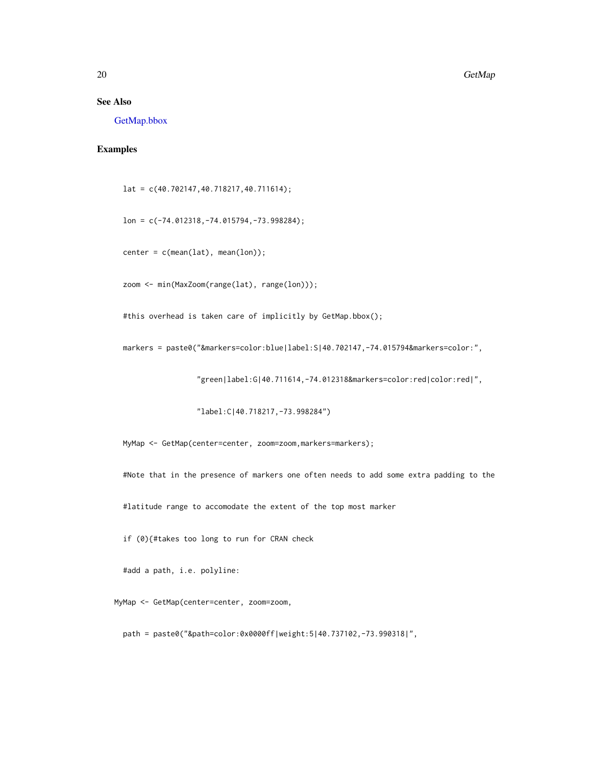#### <span id="page-19-0"></span>See Also

[GetMap.bbox](#page-22-1)

### Examples

lat = c(40.702147,40.718217,40.711614);

lon = c(-74.012318,-74.015794,-73.998284);

 $center = c(mean(lat), mean(lon));$ 

zoom <- min(MaxZoom(range(lat), range(lon)));

#this overhead is taken care of implicitly by GetMap.bbox();

markers = paste0("&markers=color:blue|label:S|40.702147,-74.015794&markers=color:",

"green|label:G|40.711614,-74.012318&markers=color:red|color:red|",

"label:C|40.718217,-73.998284")

MyMap <- GetMap(center=center, zoom=zoom,markers=markers);

#Note that in the presence of markers one often needs to add some extra padding to the

#latitude range to accomodate the extent of the top most marker

if (0){#takes too long to run for CRAN check

#add a path, i.e. polyline:

MyMap <- GetMap(center=center, zoom=zoom,

path = paste0("&path=color:0x0000ff|weight:5|40.737102,-73.990318|",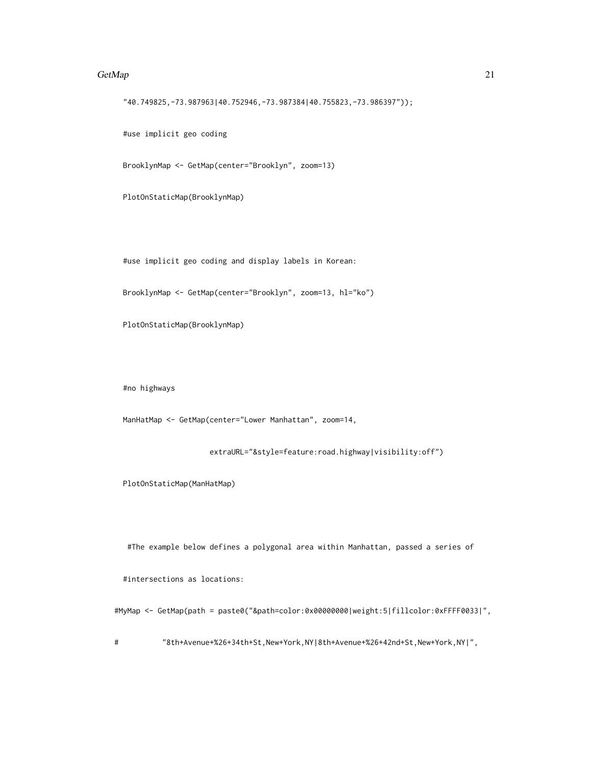#### $G$ etMap 21

"40.749825,-73.987963|40.752946,-73.987384|40.755823,-73.986397"));

#use implicit geo coding

BrooklynMap <- GetMap(center="Brooklyn", zoom=13)

PlotOnStaticMap(BrooklynMap)

#use implicit geo coding and display labels in Korean:

BrooklynMap <- GetMap(center="Brooklyn", zoom=13, hl="ko")

PlotOnStaticMap(BrooklynMap)

#no highways

ManHatMap <- GetMap(center="Lower Manhattan", zoom=14,

extraURL="&style=feature:road.highway|visibility:off")

PlotOnStaticMap(ManHatMap)

#The example below defines a polygonal area within Manhattan, passed a series of

#intersections as locations:

#MyMap <- GetMap(path = paste0("&path=color:0x00000000|weight:5|fillcolor:0xFFFF0033|",

# "8th+Avenue+%26+34th+St,New+York,NY|8th+Avenue+%26+42nd+St,New+York,NY|",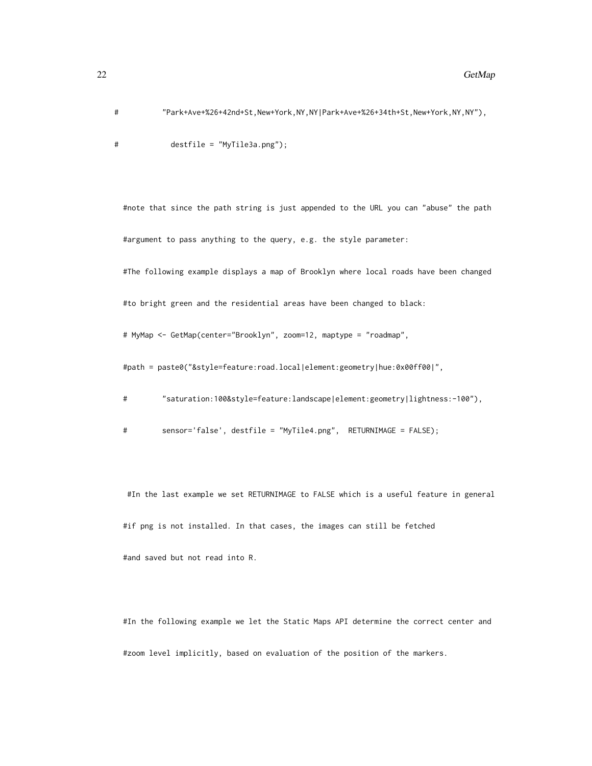# "Park+Ave+%26+42nd+St,New+York,NY,NY|Park+Ave+%26+34th+St,New+York,NY,NY"),

# destfile = "MyTile3a.png");

#note that since the path string is just appended to the URL you can "abuse" the path #argument to pass anything to the query, e.g. the style parameter:

#The following example displays a map of Brooklyn where local roads have been changed

#to bright green and the residential areas have been changed to black:

# MyMap <- GetMap(center="Brooklyn", zoom=12, maptype = "roadmap",

#path = paste0("&style=feature:road.local|element:geometry|hue:0x00ff00|",

# "saturation:100&style=feature:landscape|element:geometry|lightness:-100"),

# sensor='false', destfile = "MyTile4.png", RETURNIMAGE = FALSE);

#In the last example we set RETURNIMAGE to FALSE which is a useful feature in general #if png is not installed. In that cases, the images can still be fetched #and saved but not read into R.

#In the following example we let the Static Maps API determine the correct center and #zoom level implicitly, based on evaluation of the position of the markers.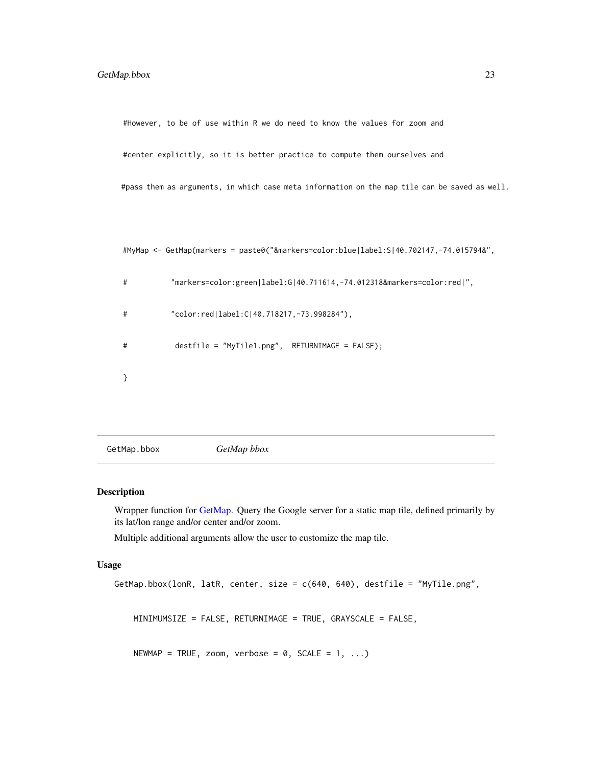<span id="page-22-0"></span>#However, to be of use within R we do need to know the values for zoom and

#center explicitly, so it is better practice to compute them ourselves and

#pass them as arguments, in which case meta information on the map tile can be saved as well.

#MyMap <- GetMap(markers = paste0("&markers=color:blue|label:S|40.702147,-74.015794&",

```
# "markers=color:green|label:G|40.711614,-74.012318&markers=color:red|",
# "color:red|label:C|40.718217,-73.998284"),
# destfile = "MyTile1.png", RETURNIMAGE = FALSE);
}
```
<span id="page-22-1"></span>GetMap.bbox *GetMap bbox*

#### Description

Wrapper function for [GetMap.](#page-17-1) Query the Google server for a static map tile, defined primarily by its lat/lon range and/or center and/or zoom.

Multiple additional arguments allow the user to customize the map tile.

#### Usage

```
GetMap.bbox(lonR, latR, center, size = c(640, 640), destfile = "MyTile.png",
   MINIMUMSIZE = FALSE, RETURNIMAGE = TRUE, GRAYSCALE = FALSE,
   NEWMAP = TRUE, zoom, verbose = 0, SCALE = 1, ...)
```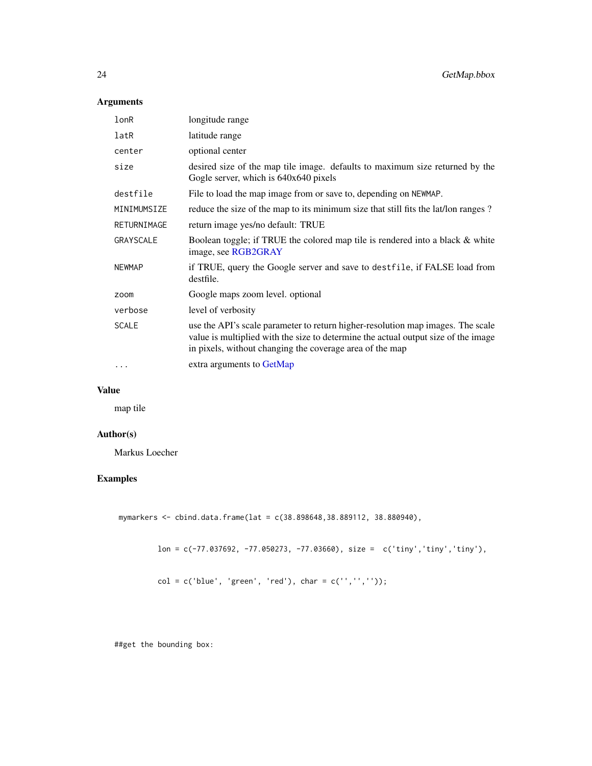### <span id="page-23-0"></span>Arguments

| lonR          | longitude range                                                                                                                                                                                                                   |  |
|---------------|-----------------------------------------------------------------------------------------------------------------------------------------------------------------------------------------------------------------------------------|--|
| latR          | latitude range                                                                                                                                                                                                                    |  |
| center        | optional center                                                                                                                                                                                                                   |  |
| size          | desired size of the map tile image. defaults to maximum size returned by the<br>Gogle server, which is 640x640 pixels                                                                                                             |  |
| destfile      | File to load the map image from or save to, depending on NEWMAP.                                                                                                                                                                  |  |
| MINIMUMSIZE   | reduce the size of the map to its minimum size that still fits the lat/lon ranges ?                                                                                                                                               |  |
| RETURNIMAGE   | return image yes/no default: TRUE                                                                                                                                                                                                 |  |
| GRAYSCALE     | Boolean toggle; if TRUE the colored map tile is rendered into a black & white<br>image, see RGB2GRAY                                                                                                                              |  |
| <b>NEWMAP</b> | if TRUE, query the Google server and save to destfile, if FALSE load from<br>destfile.                                                                                                                                            |  |
| zoom          | Google maps zoom level. optional                                                                                                                                                                                                  |  |
| verbose       | level of verbosity                                                                                                                                                                                                                |  |
| <b>SCALE</b>  | use the API's scale parameter to return higher-resolution map images. The scale<br>value is multiplied with the size to determine the actual output size of the image<br>in pixels, without changing the coverage area of the map |  |
| $\cdots$      | extra arguments to GetMap                                                                                                                                                                                                         |  |
|               |                                                                                                                                                                                                                                   |  |

### Value

map tile

### Author(s)

Markus Loecher

### Examples

mymarkers <- cbind.data.frame(lat = c(38.898648,38.889112, 38.880940),

lon = c(-77.037692, -77.050273, -77.03660), size = c('tiny','tiny','tiny'),

 $col = c('blue', 'green', 'red'), char = c('', ''', '')$ ;

##get the bounding box: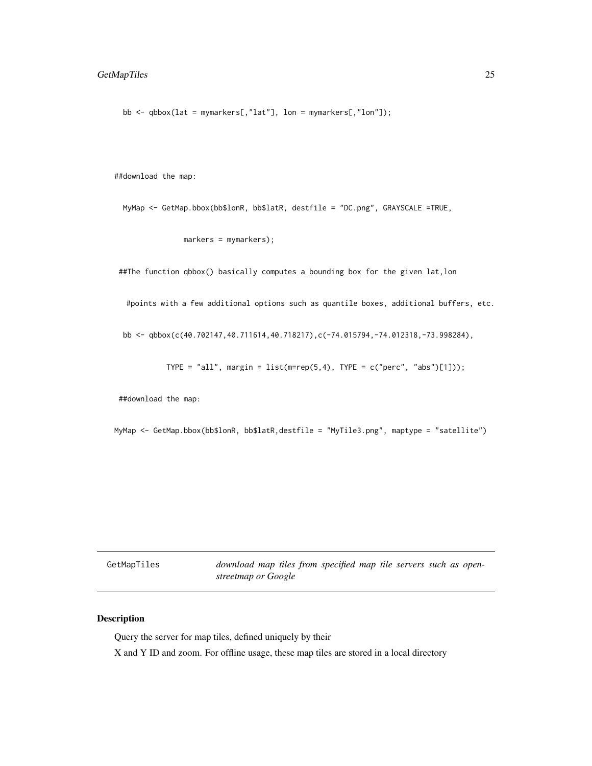### <span id="page-24-0"></span>GetMapTiles 25

bb  $\leq$  qbbox(lat = mymarkers[,"lat"], lon = mymarkers[,"lon"]);

##download the map:

MyMap <- GetMap.bbox(bb\$lonR, bb\$latR, destfile = "DC.png", GRAYSCALE =TRUE,

markers = mymarkers);

##The function qbbox() basically computes a bounding box for the given lat,lon

#points with a few additional options such as quantile boxes, additional buffers, etc.

bb <- qbbox(c(40.702147,40.711614,40.718217),c(-74.015794,-74.012318,-73.998284),

TYPE = "all", margin = list(m=rep(5,4), TYPE =  $c("perc", "abs")[1])$ );

##download the map:

MyMap <- GetMap.bbox(bb\$lonR, bb\$latR,destfile = "MyTile3.png", maptype = "satellite")

GetMapTiles *download map tiles from specified map tile servers such as openstreetmap or Google*

#### Description

Query the server for map tiles, defined uniquely by their

X and Y ID and zoom. For offline usage, these map tiles are stored in a local directory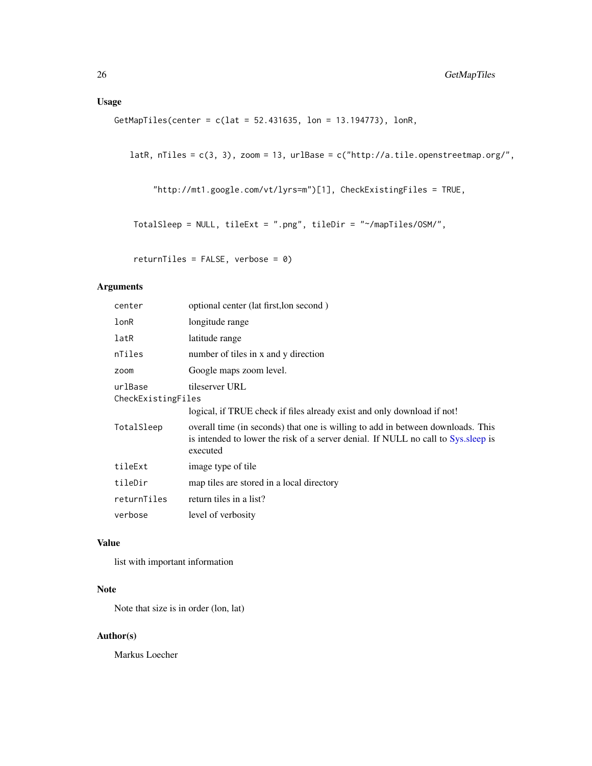<span id="page-25-0"></span>GetMapTiles(center = c(lat = 52.431635, lon = 13.194773), lonR,

latR, nTiles = c(3, 3), zoom = 13, urlBase = c("http://a.tile.openstreetmap.org/",

```
"http://mt1.google.com/vt/lyrs=m")[1], CheckExistingFiles = TRUE,
```

```
TotalSleep = NULL, tileExt = ".png", tileDir = "~/mapTiles/OSM/",
```
returnTiles = FALSE, verbose = 0)

### Arguments

| center                                          | optional center (lat first, lon second)                                                                                                                                           |  |
|-------------------------------------------------|-----------------------------------------------------------------------------------------------------------------------------------------------------------------------------------|--|
| lonR                                            | longitude range                                                                                                                                                                   |  |
| latR                                            | latitude range                                                                                                                                                                    |  |
| nTiles                                          | number of tiles in x and y direction                                                                                                                                              |  |
| zoom                                            | Google maps zoom level.                                                                                                                                                           |  |
| urlBase<br>tileserver URL<br>CheckExistingFiles |                                                                                                                                                                                   |  |
|                                                 | logical, if TRUE check if files already exist and only download if not!                                                                                                           |  |
| TotalSleep                                      | overall time (in seconds) that one is willing to add in between downloads. This<br>is intended to lower the risk of a server denial. If NULL no call to Sys. sleep is<br>executed |  |
| tileExt                                         | image type of tile                                                                                                                                                                |  |
| tileDir                                         | map tiles are stored in a local directory                                                                                                                                         |  |
| returnTiles                                     | return tiles in a list?                                                                                                                                                           |  |
| verbose                                         | level of verbosity                                                                                                                                                                |  |

### Value

list with important information

### Note

Note that size is in order (lon, lat)

### Author(s)

Markus Loecher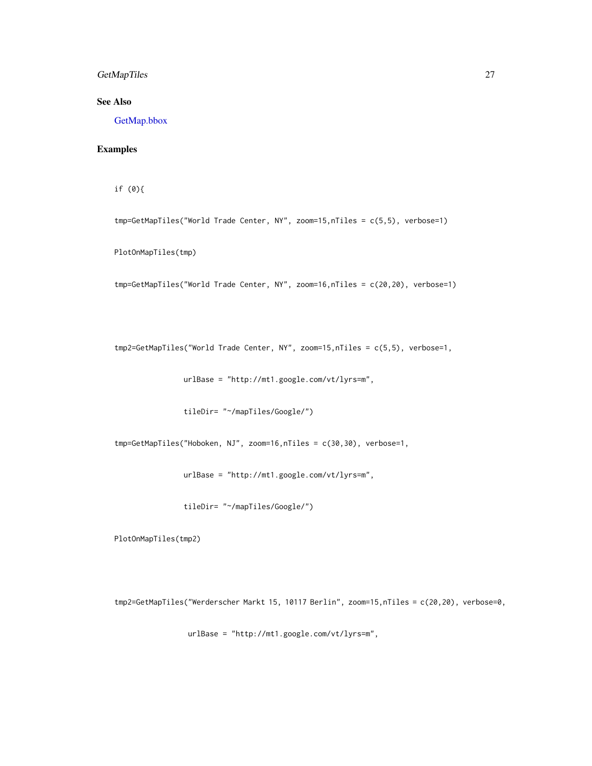### <span id="page-26-0"></span>GetMapTiles 27

### See Also

[GetMap.bbox](#page-22-1)

### Examples

if (0){

tmp=GetMapTiles("World Trade Center, NY", zoom=15,nTiles = c(5,5), verbose=1)

PlotOnMapTiles(tmp)

tmp=GetMapTiles("World Trade Center, NY", zoom=16,nTiles = c(20,20), verbose=1)

tmp2=GetMapTiles("World Trade Center, NY", zoom=15,nTiles = c(5,5), verbose=1,

urlBase = "http://mt1.google.com/vt/lyrs=m",

tileDir= "~/mapTiles/Google/")

tmp=GetMapTiles("Hoboken, NJ", zoom=16,nTiles = c(30,30), verbose=1,

urlBase = "http://mt1.google.com/vt/lyrs=m",

tileDir= "~/mapTiles/Google/")

PlotOnMapTiles(tmp2)

tmp2=GetMapTiles("Werderscher Markt 15, 10117 Berlin", zoom=15,nTiles = c(20,20), verbose=0,

urlBase = "http://mt1.google.com/vt/lyrs=m",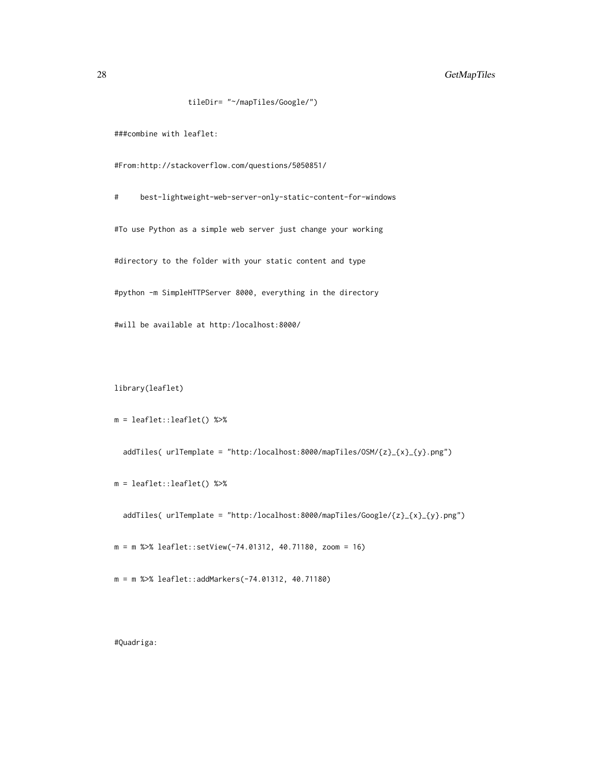### 28 GetMapTiles

```
tileDir= "~/mapTiles/Google/")
```
###combine with leaflet:

#From:http://stackoverflow.com/questions/5050851/

# best-lightweight-web-server-only-static-content-for-windows #To use Python as a simple web server just change your working #directory to the folder with your static content and type #python -m SimpleHTTPServer 8000, everything in the directory #will be available at http:/localhost:8000/

library(leaflet)

```
m = leaflet::leaflet() %>%
```
addTiles( urlTemplate = "http:/localhost:8000/mapTiles/OSM/{z}\_{x}\_{y}.png")

m = leaflet::leaflet() %>%

addTiles( urlTemplate = "http:/localhost:8000/mapTiles/Google/{z}\_{x}\_{y}.png")

m = m %>% leaflet::setView(-74.01312, 40.71180, zoom = 16)

m = m %>% leaflet::addMarkers(-74.01312, 40.71180)

#Quadriga: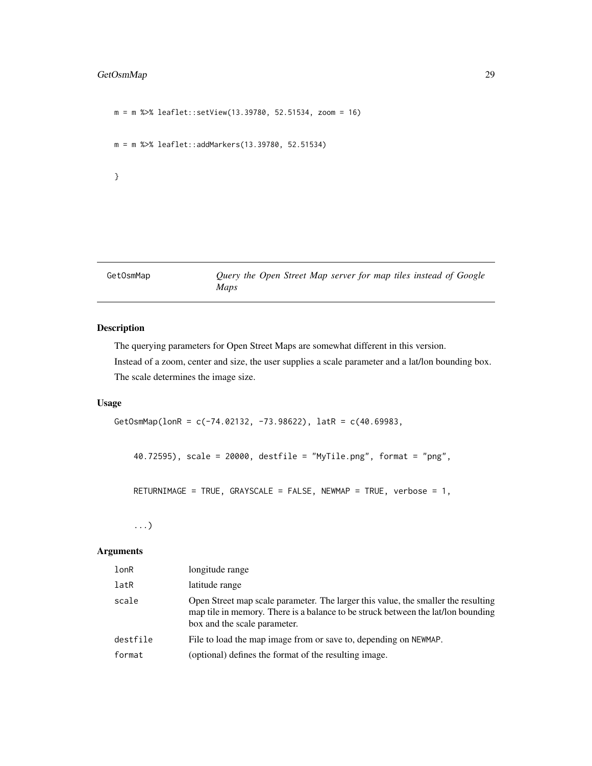### <span id="page-28-0"></span>GetOsmMap 29

```
m = m %>% leaflet::setView(13.39780, 52.51534, zoom = 16)
m = m %>% leaflet::addMarkers(13.39780, 52.51534)
}
```
GetOsmMap *Query the Open Street Map server for map tiles instead of Google Maps*

### Description

The querying parameters for Open Street Maps are somewhat different in this version. Instead of a zoom, center and size, the user supplies a scale parameter and a lat/lon bounding box. The scale determines the image size.

#### Usage

GetOsmMap(lonR = c(-74.02132, -73.98622), latR = c(40.69983,

40.72595), scale = 20000, destfile = "MyTile.png", format = "png",

RETURNIMAGE = TRUE, GRAYSCALE = FALSE, NEWMAP = TRUE, verbose = 1,

...)

#### Arguments

| lonR     | longitude range                                                                                                                                                                                       |
|----------|-------------------------------------------------------------------------------------------------------------------------------------------------------------------------------------------------------|
| latR     | latitude range                                                                                                                                                                                        |
| scale    | Open Street map scale parameter. The larger this value, the smaller the resulting<br>map tile in memory. There is a balance to be struck between the lat/lon bounding<br>box and the scale parameter. |
| destfile | File to load the map image from or save to, depending on NEWMAP.                                                                                                                                      |
| format   | (optional) defines the format of the resulting image.                                                                                                                                                 |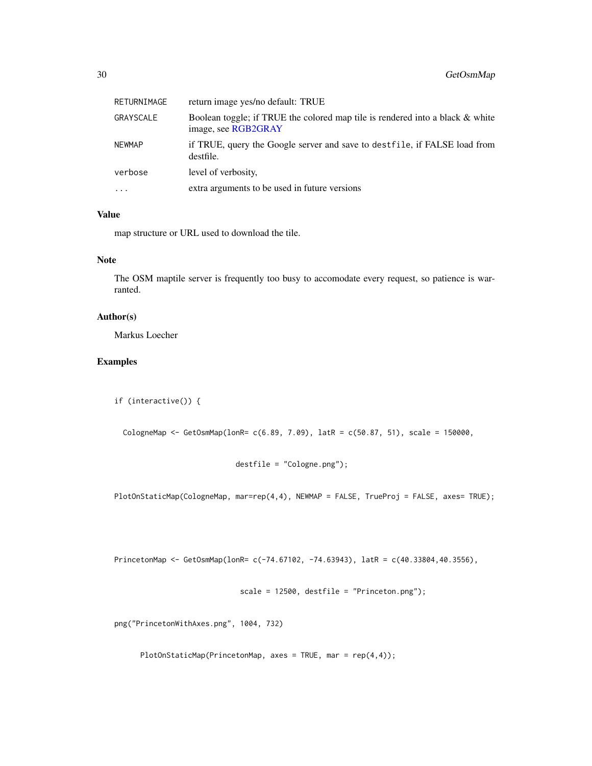<span id="page-29-0"></span>

| RETURNIMAGE | return image yes/no default: TRUE                                                                    |
|-------------|------------------------------------------------------------------------------------------------------|
| GRAYSCALE   | Boolean toggle; if TRUE the colored map tile is rendered into a black & white<br>image, see RGB2GRAY |
| NEWMAP      | if TRUE, query the Google server and save to dest file, if FALSE load from<br>destfile.              |
| verbose     | level of verbosity,                                                                                  |
| $\cdots$    | extra arguments to be used in future versions                                                        |

#### Value

map structure or URL used to download the tile.

#### Note

The OSM maptile server is frequently too busy to accomodate every request, so patience is warranted.

### Author(s)

Markus Loecher

### Examples

```
if (interactive()) {
```

```
CologneMap <- GetOsmMap(lonR= c(6.89, 7.09), latR = c(50.87, 51), scale = 150000,
```

```
destfile = "Cologne.png");
```
PlotOnStaticMap(CologneMap, mar=rep(4,4), NEWMAP = FALSE, TrueProj = FALSE, axes= TRUE);

PrincetonMap <- GetOsmMap(lonR= c(-74.67102, -74.63943), latR = c(40.33804,40.3556),

scale = 12500, destfile = "Princeton.png");

png("PrincetonWithAxes.png", 1004, 732)

PlotOnStaticMap(PrincetonMap, axes = TRUE, mar =  $rep(4,4)$ );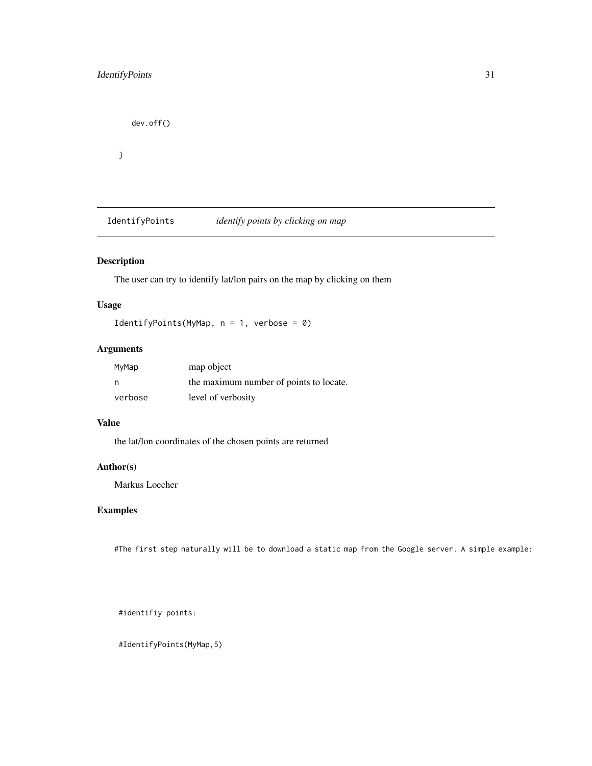```
dev.off()
}
```
IdentifyPoints *identify points by clicking on map*

### Description

The user can try to identify lat/lon pairs on the map by clicking on them

### Usage

```
IdentifyPoints(MyMap, n = 1, verbose = 0)
```
### Arguments

| MyMap   | map object                              |
|---------|-----------------------------------------|
| n       | the maximum number of points to locate. |
| verbose | level of verbosity                      |

#### Value

the lat/lon coordinates of the chosen points are returned

### Author(s)

Markus Loecher

### Examples

#The first step naturally will be to download a static map from the Google server. A simple example:

#identifiy points:

#IdentifyPoints(MyMap,5)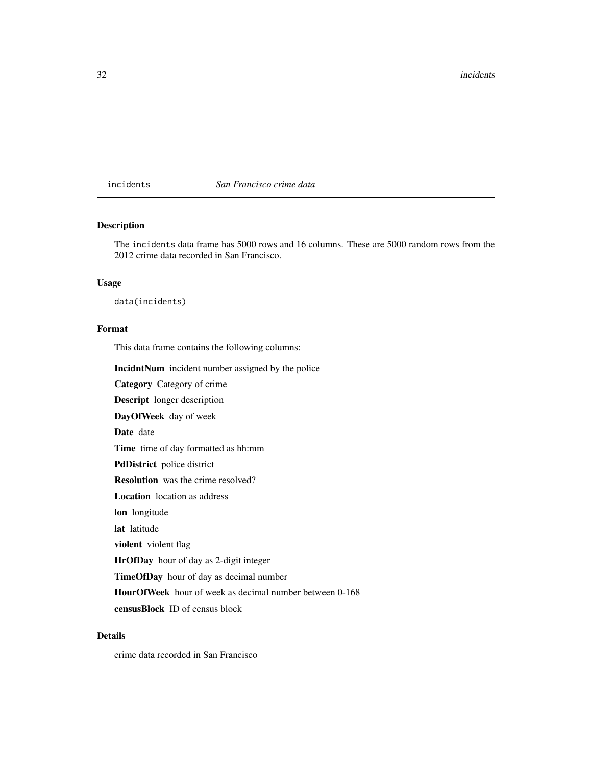<span id="page-31-0"></span>incidents *San Francisco crime data*

#### Description

The incidents data frame has 5000 rows and 16 columns. These are 5000 random rows from the 2012 crime data recorded in San Francisco.

### Usage

data(incidents)

### Format

This data frame contains the following columns:

IncidntNum incident number assigned by the police

Category Category of crime

Descript longer description

DayOfWeek day of week

Date date

Time time of day formatted as hh:mm

PdDistrict police district

Resolution was the crime resolved?

Location location as address

lon longitude

lat latitude

violent violent flag

HrOfDay hour of day as 2-digit integer

TimeOfDay hour of day as decimal number

HourOfWeek hour of week as decimal number between 0-168

censusBlock ID of census block

### Details

crime data recorded in San Francisco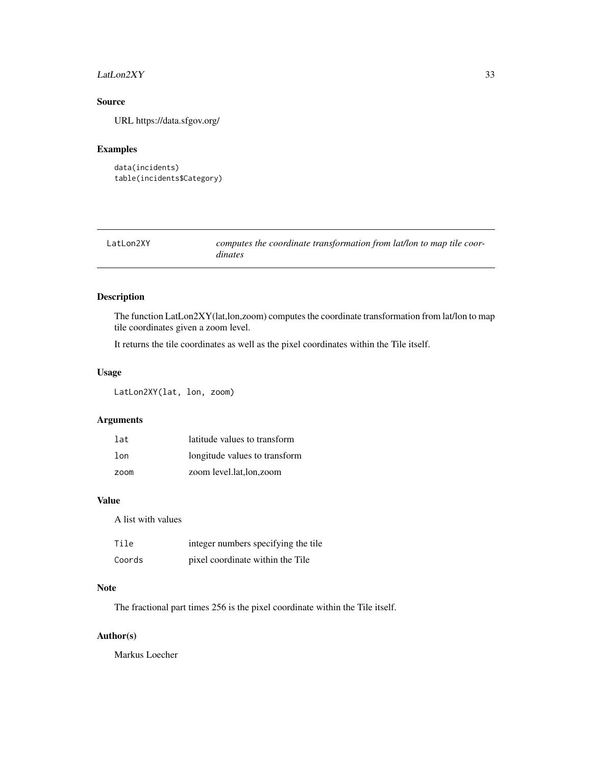### <span id="page-32-0"></span>LatLon2XY 33

### Source

URL https://data.sfgov.org/

### Examples

```
data(incidents)
table(incidents$Category)
```
<span id="page-32-1"></span>

| LatLon2XY | computes the coordinate transformation from lat/lon to map tile coor- |
|-----------|-----------------------------------------------------------------------|
|           | <i>dinates</i>                                                        |

### Description

The function LatLon2XY(lat,lon,zoom) computes the coordinate transformation from lat/lon to map tile coordinates given a zoom level.

It returns the tile coordinates as well as the pixel coordinates within the Tile itself.

### Usage

LatLon2XY(lat, lon, zoom)

### Arguments

| 1at             | latitude values to transform  |
|-----------------|-------------------------------|
| 1 <sub>on</sub> | longitude values to transform |
| zoom            | zoom level.lat.lon.zoom       |

### Value

A list with values

| Tile   | integer numbers specifying the tile |
|--------|-------------------------------------|
| Coords | pixel coordinate within the Tile    |

### Note

The fractional part times 256 is the pixel coordinate within the Tile itself.

### Author(s)

Markus Loecher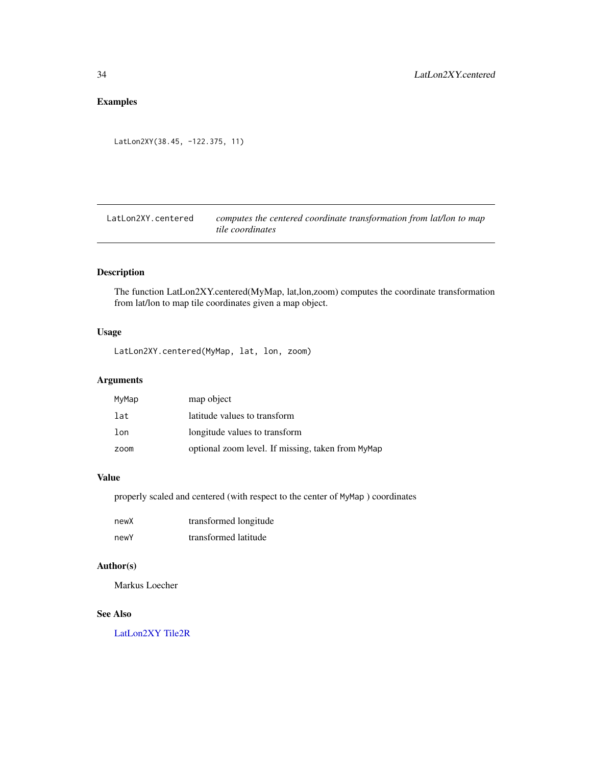### <span id="page-33-0"></span>Examples

```
LatLon2XY(38.45, -122.375, 11)
```
LatLon2XY.centered *computes the centered coordinate transformation from lat/lon to map tile coordinates*

### Description

The function LatLon2XY.centered(MyMap, lat,lon,zoom) computes the coordinate transformation from lat/lon to map tile coordinates given a map object.

### Usage

LatLon2XY.centered(MyMap, lat, lon, zoom)

#### Arguments

| MyMap | map object                                        |
|-------|---------------------------------------------------|
| lat   | latitude values to transform                      |
| lon   | longitude values to transform                     |
| zoom  | optional zoom level. If missing, taken from MyMap |

### Value

properly scaled and centered (with respect to the center of MyMap ) coordinates

| newX | transformed longitude |
|------|-----------------------|
| newY | transformed latitude  |

### Author(s)

Markus Loecher

### See Also

[LatLon2XY](#page-32-1) [Tile2R](#page-56-1)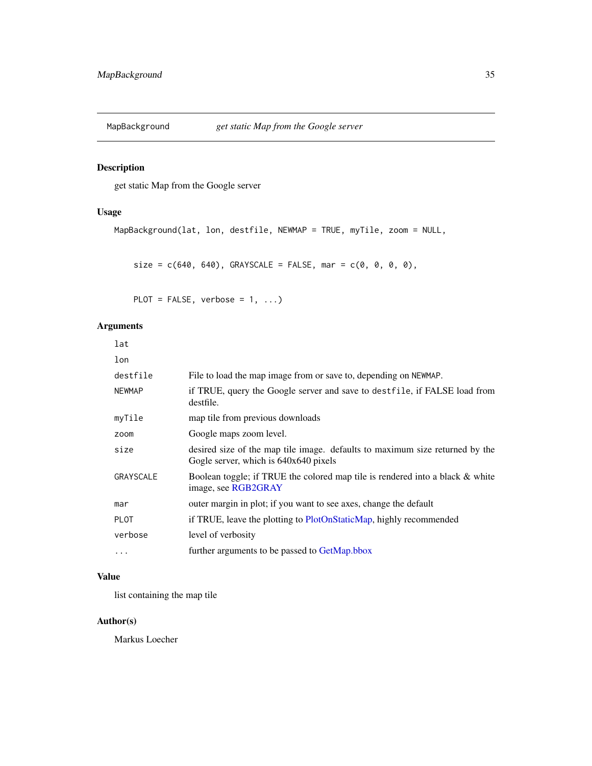<span id="page-34-0"></span>

get static Map from the Google server

### Usage

```
MapBackground(lat, lon, destfile, NEWMAP = TRUE, myTile, zoom = NULL,
```
 $size = c(640, 640), GRAYSCALE = FALSE, mar = c(0, 0, 0, 0),$ 

PLOT = FALSE, verbose =  $1, ...$ )

### Arguments

| lat              |                                                                                                                       |
|------------------|-----------------------------------------------------------------------------------------------------------------------|
| lon              |                                                                                                                       |
| destfile         | File to load the map image from or save to, depending on NEWMAP.                                                      |
| <b>NEWMAP</b>    | if TRUE, query the Google server and save to destfile, if FALSE load from<br>destfile.                                |
| myTile           | map tile from previous downloads                                                                                      |
| zoom             | Google maps zoom level.                                                                                               |
| size             | desired size of the map tile image. defaults to maximum size returned by the<br>Gogle server, which is 640x640 pixels |
| <b>GRAYSCALE</b> | Boolean toggle; if TRUE the colored map tile is rendered into a black & white<br>image, see RGB2GRAY                  |
| mar              | outer margin in plot; if you want to see axes, change the default                                                     |
| <b>PLOT</b>      | if TRUE, leave the plotting to PlotOnStaticMap, highly recommended                                                    |
| verbose          | level of verbosity                                                                                                    |
| $\ddotsc$        | further arguments to be passed to GetMap.bbox                                                                         |

### Value

list containing the map tile

### Author(s)

Markus Loecher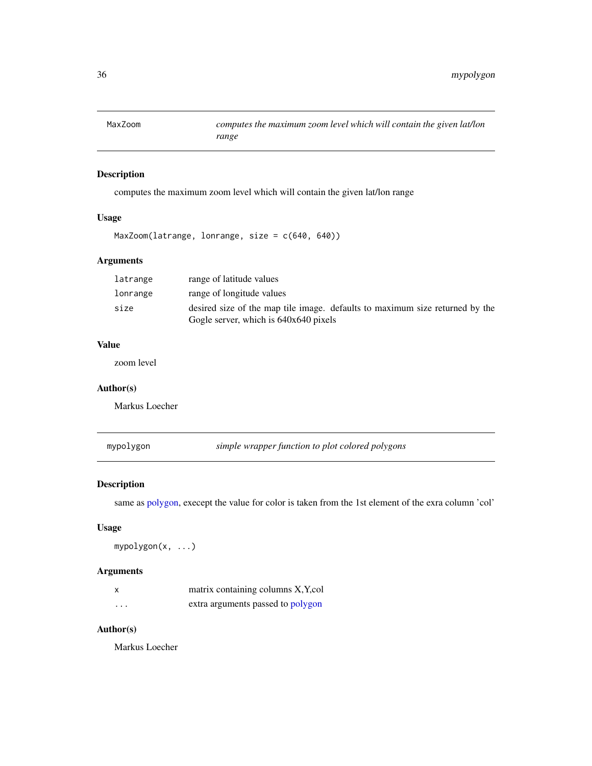<span id="page-35-0"></span>

computes the maximum zoom level which will contain the given lat/lon range

### Usage

```
MaxZoom(latrange, lonrange, size = c(640, 640))
```
### Arguments

| latrange | range of latitude values                                                     |
|----------|------------------------------------------------------------------------------|
| lonrange | range of longitude values                                                    |
| size     | desired size of the map tile image. defaults to maximum size returned by the |
|          | Gogle server, which is 640x640 pixels                                        |

#### Value

zoom level

#### Author(s)

Markus Loecher

<span id="page-35-1"></span>mypolygon *simple wrapper function to plot colored polygons*

### Description

same as [polygon,](#page-0-0) execept the value for color is taken from the 1st element of the exra column 'col'

#### Usage

mypolygon(x, ...)

#### Arguments

|          | matrix containing columns X, Y, col |
|----------|-------------------------------------|
| $\cdots$ | extra arguments passed to polygon   |

### Author(s)

Markus Loecher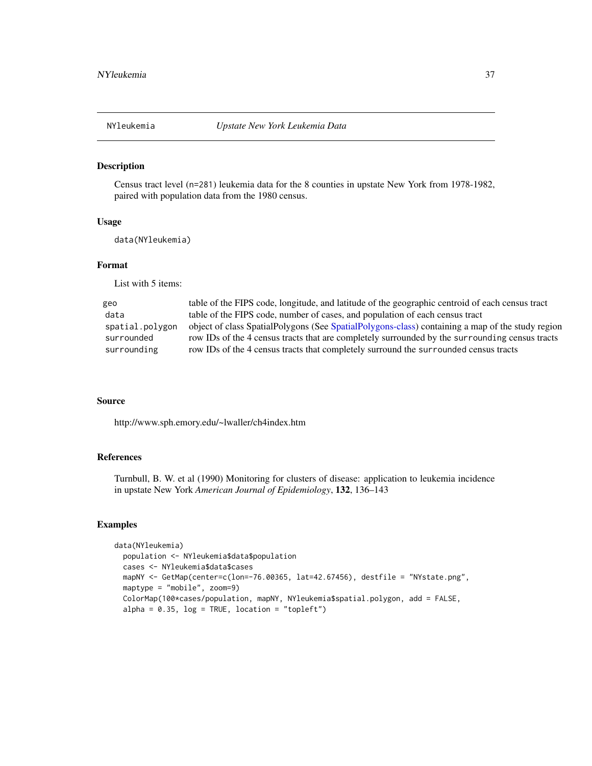<span id="page-36-1"></span><span id="page-36-0"></span>

Census tract level (n=281) leukemia data for the 8 counties in upstate New York from 1978-1982, paired with population data from the 1980 census.

#### Usage

data(NYleukemia)

### Format

List with 5 items:

| geo             | table of the FIPS code, longitude, and latitude of the geographic centroid of each census tract  |
|-----------------|--------------------------------------------------------------------------------------------------|
| data            | table of the FIPS code, number of cases, and population of each census tract                     |
| spatial.polygon | object of class SpatialPolygons (See SpatialPolygons-class) containing a map of the study region |
| surrounded      | row IDs of the 4 census tracts that are completely surrounded by the surrounding census tracts   |
| surrounding     | row IDs of the 4 census tracts that completely surround the surrounded census tracts             |
|                 |                                                                                                  |

#### Source

http://www.sph.emory.edu/~lwaller/ch4index.htm

### References

Turnbull, B. W. et al (1990) Monitoring for clusters of disease: application to leukemia incidence in upstate New York *American Journal of Epidemiology*, 132, 136–143

#### Examples

```
data(NYleukemia)
 population <- NYleukemia$data$population
 cases <- NYleukemia$data$cases
 mapNY <- GetMap(center=c(lon=-76.00365, lat=42.67456), destfile = "NYstate.png",
 maptype = "mobile", zoom=9)
 ColorMap(100*cases/population, mapNY, NYleukemia$spatial.polygon, add = FALSE,
 alpha = 0.35, log = TRUE, location = "topleft")
```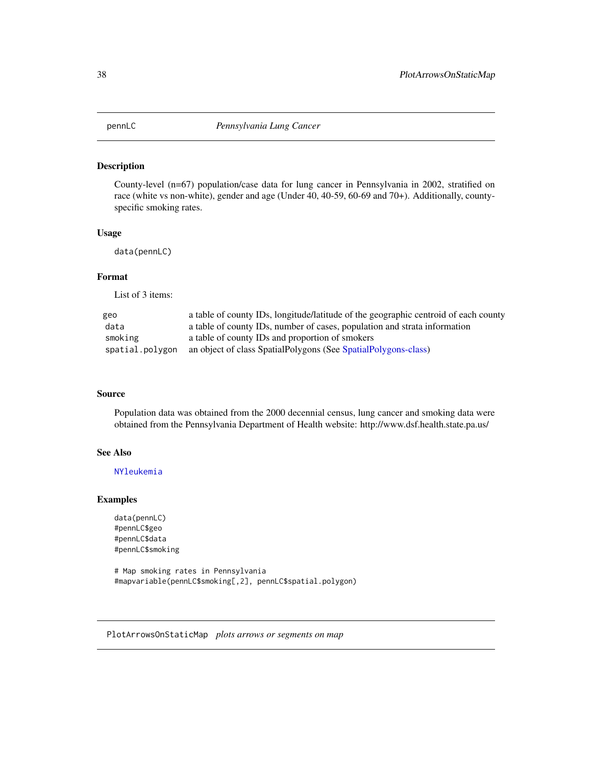<span id="page-37-0"></span>

County-level (n=67) population/case data for lung cancer in Pennsylvania in 2002, stratified on race (white vs non-white), gender and age (Under 40, 40-59, 60-69 and 70+). Additionally, countyspecific smoking rates.

#### Usage

data(pennLC)

### Format

List of 3 items:

| geo             | a table of county IDs, longitude/latitude of the geographic centroid of each county |
|-----------------|-------------------------------------------------------------------------------------|
| data            | a table of county IDs, number of cases, population and strata information           |
| smoking         | a table of county IDs and proportion of smokers                                     |
| spatial.polygon | an object of class SpatialPolygons (See SpatialPolygons-class)                      |

### Source

Population data was obtained from the 2000 decennial census, lung cancer and smoking data were obtained from the Pennsylvania Department of Health website: http://www.dsf.health.state.pa.us/

#### See Also

[NYleukemia](#page-36-1)

#### Examples

```
data(pennLC)
#pennLC$geo
#pennLC$data
#pennLC$smoking
```
# Map smoking rates in Pennsylvania #mapvariable(pennLC\$smoking[,2], pennLC\$spatial.polygon)

PlotArrowsOnStaticMap *plots arrows or segments on map*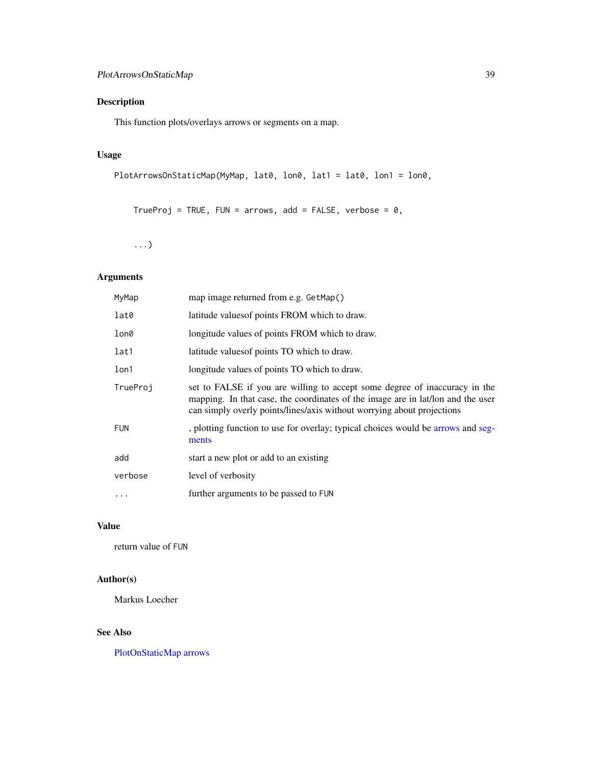<span id="page-38-0"></span>This function plots/overlays arrows or segments on a map.

### Usage

```
PlotArrowsOnStaticMap(MyMap, lat0, lon0, lat1 = lat0, lon1 = lon0,
```

```
TrueProj = TRUE, FUN = arrows, add = FALSE, verbose = 0,
```
...)

### Arguments

| MyMap            | map image returned from e.g. GetMap()                                                                                                                                                                                                   |
|------------------|-----------------------------------------------------------------------------------------------------------------------------------------------------------------------------------------------------------------------------------------|
| lat0             | latitude values of points FROM which to draw.                                                                                                                                                                                           |
| lon0             | longitude values of points FROM which to draw.                                                                                                                                                                                          |
| lat1             | latitude values of points TO which to draw.                                                                                                                                                                                             |
| 1 <sub>on1</sub> | longitude values of points TO which to draw.                                                                                                                                                                                            |
| TrueProj         | set to FALSE if you are willing to accept some degree of inaccuracy in the<br>mapping. In that case, the coordinates of the image are in lat/lon and the user<br>can simply overly points/lines/axis without worrying about projections |
| <b>FUN</b>       | , plotting function to use for overlay; typical choices would be arrows and seg-<br>ments                                                                                                                                               |
| add              | start a new plot or add to an existing                                                                                                                                                                                                  |
| verbose          | level of verbosity                                                                                                                                                                                                                      |
|                  | further arguments to be passed to FUN                                                                                                                                                                                                   |
|                  |                                                                                                                                                                                                                                         |

### Value

return value of FUN

### Author(s)

Markus Loecher

### See Also

[PlotOnStaticMap](#page-43-1) [arrows](#page-0-0)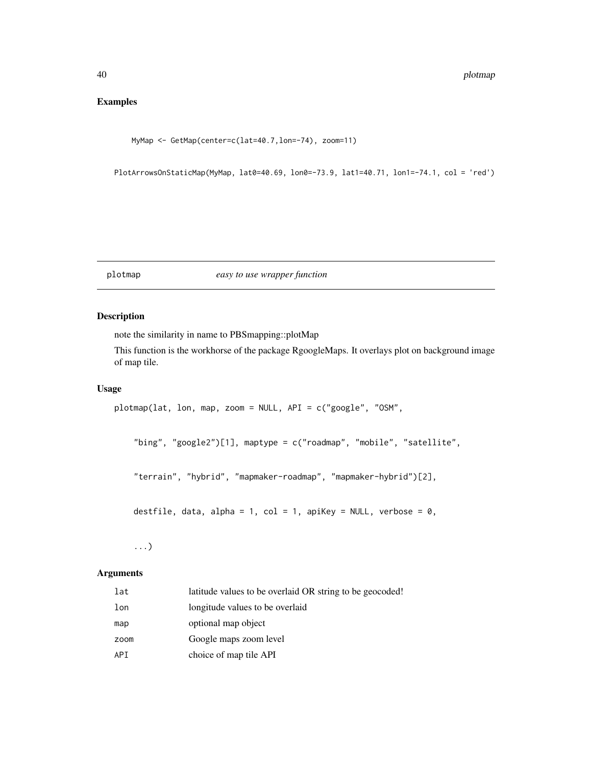### <span id="page-39-0"></span>Examples

MyMap <- GetMap(center=c(lat=40.7,lon=-74), zoom=11)

PlotArrowsOnStaticMap(MyMap, lat0=40.69, lon0=-73.9, lat1=40.71, lon1=-74.1, col = 'red')

#### plotmap *easy to use wrapper function*

#### Description

note the similarity in name to PBSmapping::plotMap

This function is the workhorse of the package RgoogleMaps. It overlays plot on background image of map tile.

#### Usage

```
plotmap(lat, lon, map, zoom = NULL, API = c("google", "OSM",
```
"bing", "google2")[1], maptype = c("roadmap", "mobile", "satellite",

"terrain", "hybrid", "mapmaker-roadmap", "mapmaker-hybrid")[2],

destfile, data, alpha = 1, col = 1, apiKey = NULL, verbose = 0,

...)

#### Arguments

| lat  | latitude values to be overlaid OR string to be geocoded! |
|------|----------------------------------------------------------|
| lon  | longitude values to be overlaid                          |
| map  | optional map object                                      |
| zoom | Google maps zoom level                                   |
| API  | choice of map tile API                                   |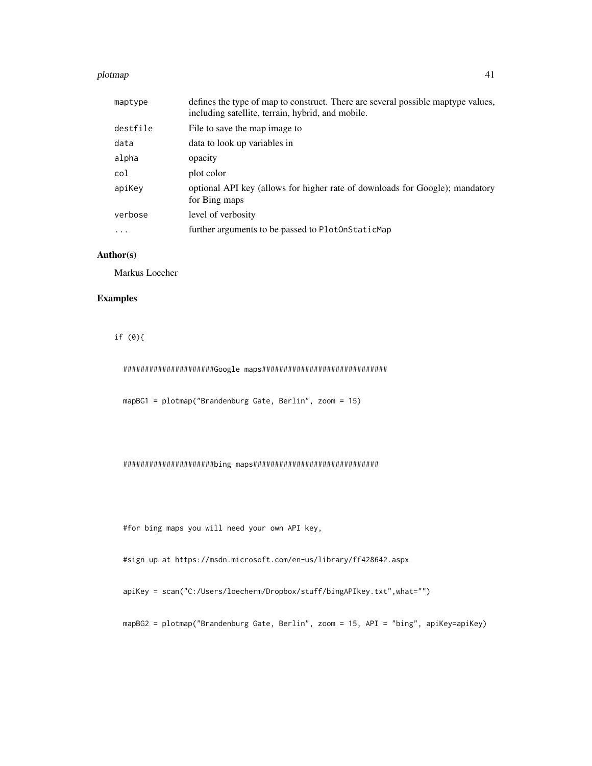#### plotmap and the set of the set of the set of the set of the set of the set of the set of the set of the set of the set of the set of the set of the set of the set of the set of the set of the set of the set of the set of t

| maptype   | defines the type of map to construct. There are several possible maptype values,<br>including satellite, terrain, hybrid, and mobile. |
|-----------|---------------------------------------------------------------------------------------------------------------------------------------|
| destfile  | File to save the map image to                                                                                                         |
| data      | data to look up variables in                                                                                                          |
| alpha     | opacity                                                                                                                               |
| col       | plot color                                                                                                                            |
| apiKey    | optional API key (allows for higher rate of downloads for Google); mandatory<br>for Bing maps                                         |
| verbose   | level of verbosity                                                                                                                    |
| $\ddotsc$ | further arguments to be passed to PlotOnStaticMap                                                                                     |

### Author(s)

Markus Loecher

### Examples

if (0){

#####################Google maps#############################

mapBG1 = plotmap("Brandenburg Gate, Berlin", zoom = 15)

#### #####################bing maps#############################

#for bing maps you will need your own API key,

#sign up at https://msdn.microsoft.com/en-us/library/ff428642.aspx

apiKey = scan("C:/Users/loecherm/Dropbox/stuff/bingAPIkey.txt",what="")

mapBG2 = plotmap("Brandenburg Gate, Berlin", zoom = 15, API = "bing", apiKey=apiKey)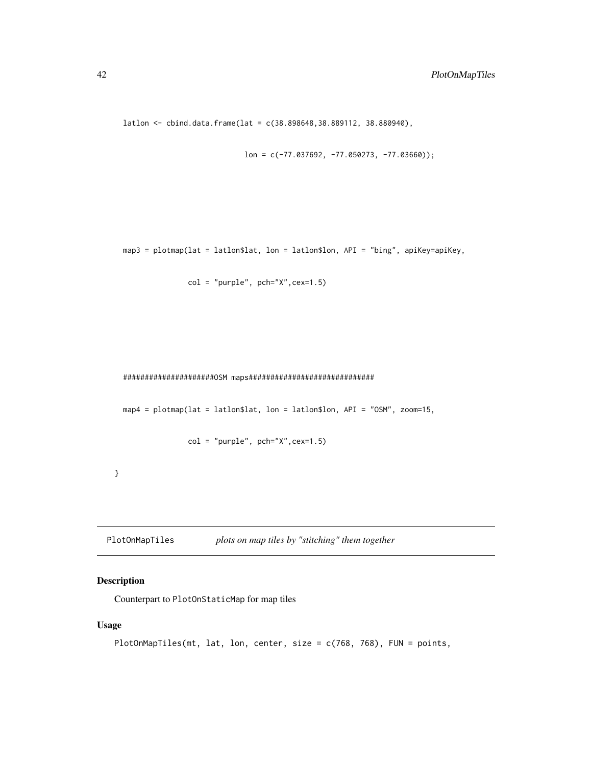```
latlon <- cbind.data.frame(lat = c(38.898648,38.889112, 38.880940),
```

```
lon = c(-77.037692, -77.050273, -77.03660));
```
map3 = plotmap(lat = latlon\$lat, lon = latlon\$lon, API = "bing", apiKey=apiKey,

```
col = "purple", pch="X",cex=1.5)
```
#### #####################OSM maps#############################

```
map4 = plotmap(lat = latlon$lat, lon = latlon$lon, API = "OSM", zoom=15,
```

```
col = "purple", pole="X", cex=1.5)
```
}

```
PlotOnMapTiles plots on map tiles by "stitching" them together
```
### Description

Counterpart to PlotOnStaticMap for map tiles

#### Usage

```
PlotOnMapTiles(mt, lat, lon, center, size = c(768, 768), FUN = points,
```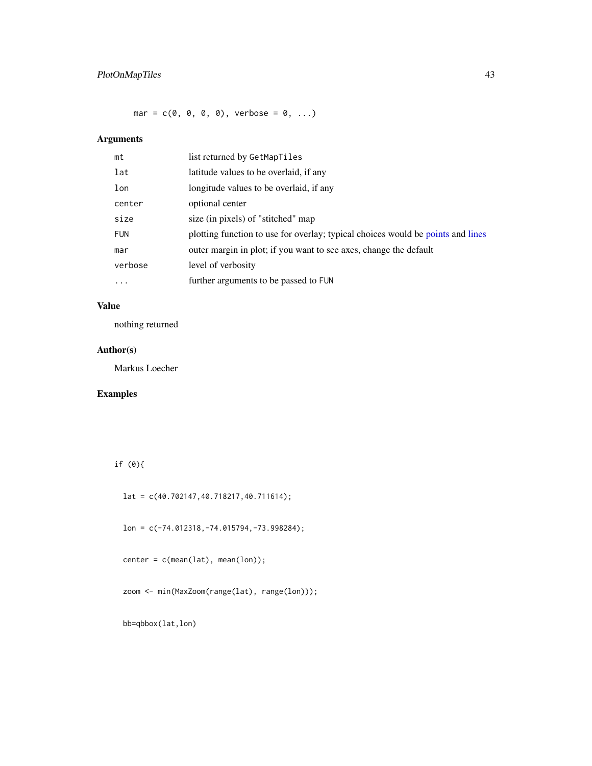<span id="page-42-0"></span> $mar = c(0, 0, 0, 0)$ , verbose = 0, ...)

### Arguments

| mt         | list returned by GetMapTiles                                                    |
|------------|---------------------------------------------------------------------------------|
| lat        | latitude values to be overlaid, if any                                          |
| lon        | longitude values to be overlaid, if any                                         |
| center     | optional center                                                                 |
| size       | size (in pixels) of "stitched" map                                              |
| <b>FUN</b> | plotting function to use for overlay; typical choices would be points and lines |
| mar        | outer margin in plot; if you want to see axes, change the default               |
| verbose    | level of verbosity                                                              |
| .          | further arguments to be passed to FUN                                           |
|            |                                                                                 |

### Value

nothing returned

### Author(s)

Markus Loecher

### Examples

if (0){

lat = c(40.702147,40.718217,40.711614);

lon = c(-74.012318,-74.015794,-73.998284);

center = c(mean(lat), mean(lon));

zoom <- min(MaxZoom(range(lat), range(lon)));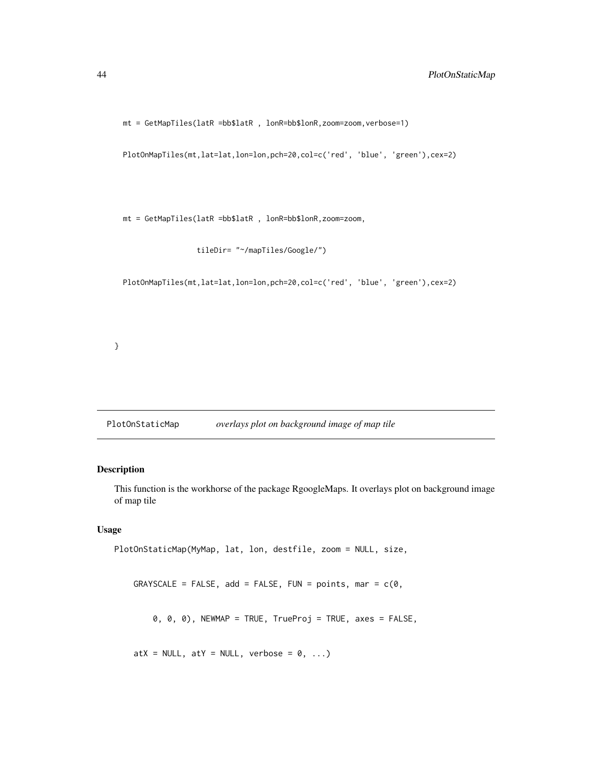<span id="page-43-0"></span>mt = GetMapTiles(latR =bb\$latR , lonR=bb\$lonR,zoom=zoom,verbose=1)

PlotOnMapTiles(mt,lat=lat,lon=lon,pch=20,col=c('red', 'blue', 'green'),cex=2)

mt = GetMapTiles(latR =bb\$latR , lonR=bb\$lonR,zoom=zoom,

tileDir= "~/mapTiles/Google/")

PlotOnMapTiles(mt,lat=lat,lon=lon,pch=20,col=c('red', 'blue', 'green'),cex=2)

}

<span id="page-43-1"></span>PlotOnStaticMap *overlays plot on background image of map tile*

### Description

This function is the workhorse of the package RgoogleMaps. It overlays plot on background image of map tile

#### Usage

```
PlotOnStaticMap(MyMap, lat, lon, destfile, zoom = NULL, size,
   GRAYSCALE = FALSE, add = FALSE, FUN = points, mar = c(0, 0)0, 0, 0), NEWMAP = TRUE, TrueProj = TRUE, axes = FALSE,
```
 $atX = NULL, atY = NULL, verbose = 0, ...)$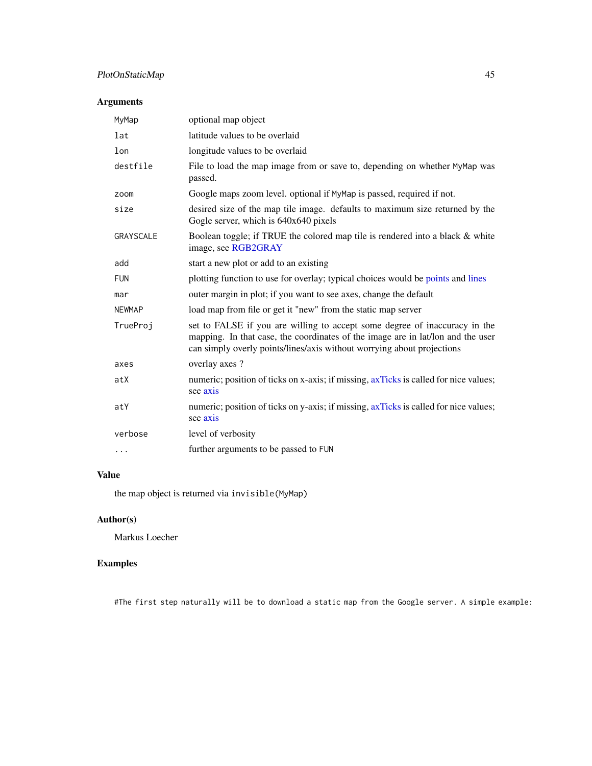### <span id="page-44-0"></span>PlotOnStaticMap 45

### Arguments

| optional map object                                                                                                                                                                                                                     |
|-----------------------------------------------------------------------------------------------------------------------------------------------------------------------------------------------------------------------------------------|
| latitude values to be overlaid                                                                                                                                                                                                          |
| longitude values to be overlaid                                                                                                                                                                                                         |
| File to load the map image from or save to, depending on whether MyMap was<br>passed.                                                                                                                                                   |
| Google maps zoom level. optional if MyMap is passed, required if not.                                                                                                                                                                   |
| desired size of the map tile image. defaults to maximum size returned by the<br>Gogle server, which is 640x640 pixels                                                                                                                   |
| Boolean toggle; if TRUE the colored map tile is rendered into a black & white<br>image, see RGB2GRAY                                                                                                                                    |
| start a new plot or add to an existing                                                                                                                                                                                                  |
| plotting function to use for overlay; typical choices would be points and lines                                                                                                                                                         |
| outer margin in plot; if you want to see axes, change the default                                                                                                                                                                       |
| load map from file or get it "new" from the static map server                                                                                                                                                                           |
| set to FALSE if you are willing to accept some degree of inaccuracy in the<br>mapping. In that case, the coordinates of the image are in lat/lon and the user<br>can simply overly points/lines/axis without worrying about projections |
| overlay axes?                                                                                                                                                                                                                           |
| numeric; position of ticks on x-axis; if missing, axTicks is called for nice values;<br>see axis                                                                                                                                        |
| numeric; position of ticks on y-axis; if missing, axTicks is called for nice values;<br>see axis                                                                                                                                        |
| level of verbosity                                                                                                                                                                                                                      |
| further arguments to be passed to FUN                                                                                                                                                                                                   |
|                                                                                                                                                                                                                                         |

### Value

the map object is returned via invisible(MyMap)

### Author(s)

Markus Loecher

### Examples

#The first step naturally will be to download a static map from the Google server. A simple example: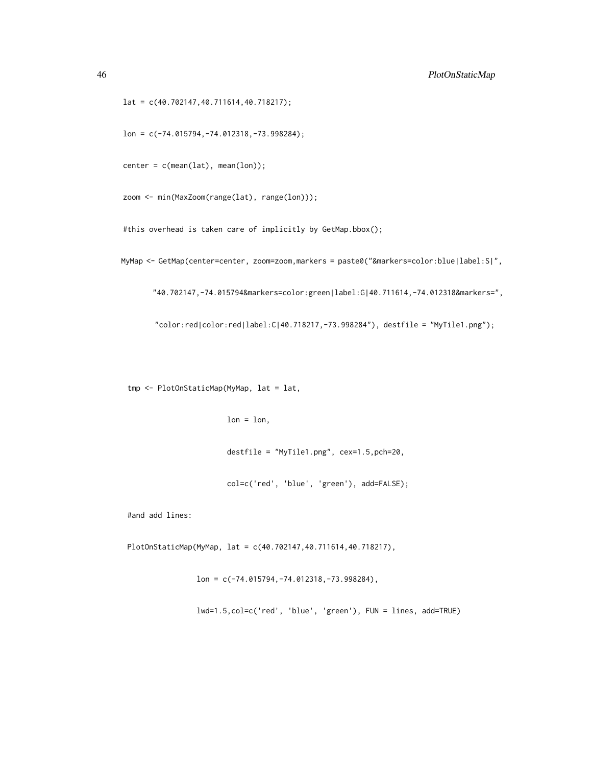lat = c(40.702147,40.711614,40.718217);

lon = c(-74.015794,-74.012318,-73.998284);

 $center = c(mean(lat), mean(lon));$ 

zoom <- min(MaxZoom(range(lat), range(lon)));

#this overhead is taken care of implicitly by GetMap.bbox();

MyMap <- GetMap(center=center, zoom=zoom,markers = paste0("&markers=color:blue|label:S|",

"40.702147,-74.015794&markers=color:green|label:G|40.711614,-74.012318&markers=",

 $"color:red|color:red|label:cl}$   $[  (1)$   $[    and$   $[             (1)$   $[    40.718217,   -73.998284"$  ), destfile =  $"MyTile1.pyf$  ;

tmp <- PlotOnStaticMap(MyMap, lat = lat,

```
lon = lon,
```
destfile = "MyTile1.png", cex=1.5,pch=20,

col=c('red', 'blue', 'green'), add=FALSE);

#and add lines:

PlotOnStaticMap(MyMap, lat = c(40.702147,40.711614,40.718217),

lon = c(-74.015794,-74.012318,-73.998284),

lwd=1.5,col=c('red', 'blue', 'green'), FUN = lines, add=TRUE)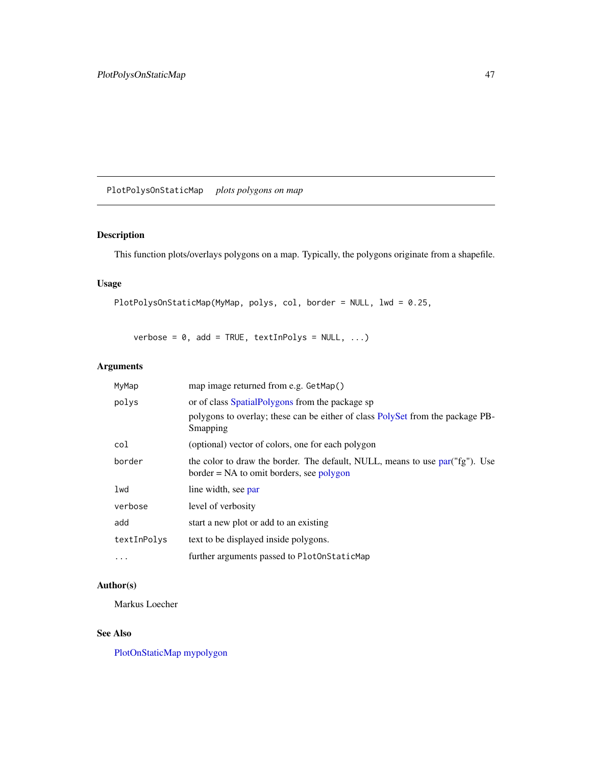<span id="page-46-0"></span>PlotPolysOnStaticMap *plots polygons on map*

### Description

This function plots/overlays polygons on a map. Typically, the polygons originate from a shapefile.

### Usage

```
PlotPolysOnStaticMap(MyMap, polys, col, border = NULL, lwd = 0.25,
```
verbose =  $0$ , add = TRUE, textInPolys = NULL, ...)

### Arguments

| MyMap       | map image returned from e.g. GetMap()                                                                                      |  |
|-------------|----------------------------------------------------------------------------------------------------------------------------|--|
| polys       | or of class SpatialPolygons from the package sp                                                                            |  |
|             | polygons to overlay; these can be either of class PolySet from the package PB-<br>Smapping                                 |  |
| col         | (optional) vector of colors, one for each polygon                                                                          |  |
| border      | the color to draw the border. The default, NULL, means to use par("fg"). Use<br>$border = NA$ to omit borders, see polygon |  |
| lwd         | line width, see par                                                                                                        |  |
| verbose     | level of verbosity                                                                                                         |  |
| add         | start a new plot or add to an existing                                                                                     |  |
| textInPolys | text to be displayed inside polygons.                                                                                      |  |
| $\ddotsc$   | further arguments passed to PlotOnStaticMap                                                                                |  |

### Author(s)

Markus Loecher

### See Also

[PlotOnStaticMap](#page-43-1) [mypolygon](#page-35-1)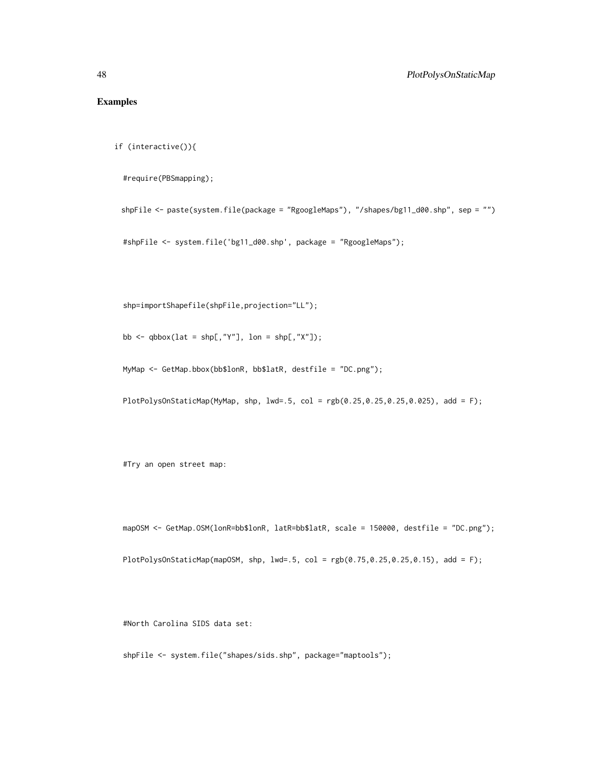### Examples

```
if (interactive()){
```
#require(PBSmapping);

```
shpFile <- paste(system.file(package = "RgoogleMaps"), "/shapes/bg11_d00.shp", sep = "")
```

```
#shpFile <- system.file('bg11_d00.shp', package = "RgoogleMaps");
```
shp=importShapefile(shpFile,projection="LL");

bb  $\leq$  qbbox(lat = shp[,"Y"], lon = shp[,"X"]);

MyMap <- GetMap.bbox(bb\$lonR, bb\$latR, destfile = "DC.png");

PlotPolysOnStaticMap(MyMap, shp,  $lwd = .5$ , col =  $rgb(0.25, 0.25, 0.25, 0.025)$ , add = F);

#Try an open street map:

mapOSM <- GetMap.OSM(lonR=bb\$lonR, latR=bb\$latR, scale = 150000, destfile = "DC.png");

PlotPolysOnStaticMap(mapOSM, shp, lwd=.5, col = rgb(0.75,0.25,0.25,0.15), add = F);

#North Carolina SIDS data set:

shpFile <- system.file("shapes/sids.shp", package="maptools");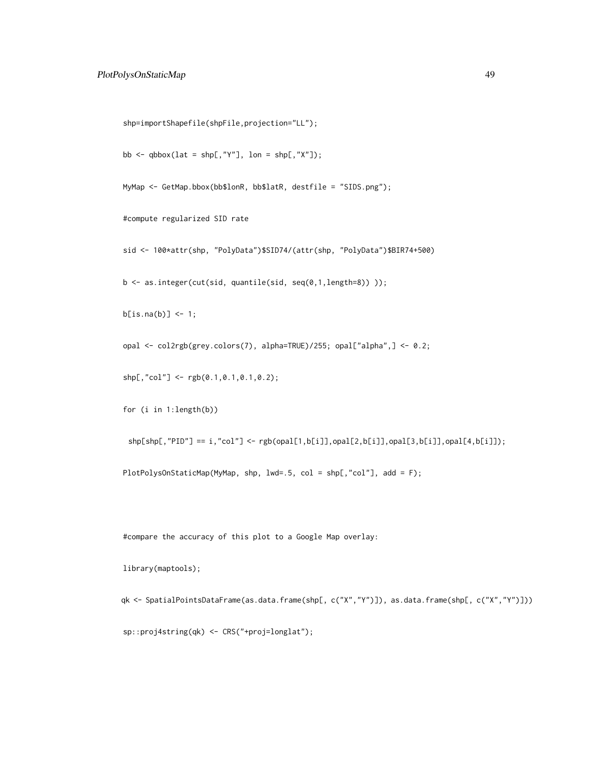```
shp=importShapefile(shpFile,projection="LL");
bb \leq qbbox(lat = shp[,"Y"], lon = shp[,"X"]);
MyMap <- GetMap.bbox(bb$lonR, bb$latR, destfile = "SIDS.png");
#compute regularized SID rate
sid <- 100*attr(shp, "PolyData")$SID74/(attr(shp, "PolyData")$BIR74+500)
b <- as.integer(cut(sid, quantile(sid, seq(0,1,length=8)) ));
b[i s, na(b)] \leftarrow 1;opal <- col2rgb(grey.colors(7), alpha=TRUE)/255; opal["alpha",] <- 0.2;
shp[, "col"] \leq rgb(0.1, 0.1, 0.1, 0.2);for (i in 1:length(b))
 \text{shp}[shp[, "PID"] == i, "col"] <- \text{rgb}(\text{opall}[1,b[i]], \text{opall}[2,b[i]], \text{opall}[3,b[i]]], \text{opall}[4,b[i]]);
```
PlotPolysOnStaticMap(MyMap, shp, lwd=.5, col = shp[,"col"], add = F);

#compare the accuracy of this plot to a Google Map overlay:

library(maptools);

qk <- SpatialPointsDataFrame(as.data.frame(shp[, c("X","Y")]), as.data.frame(shp[, c("X","Y")])) sp::proj4string(qk) <- CRS("+proj=longlat");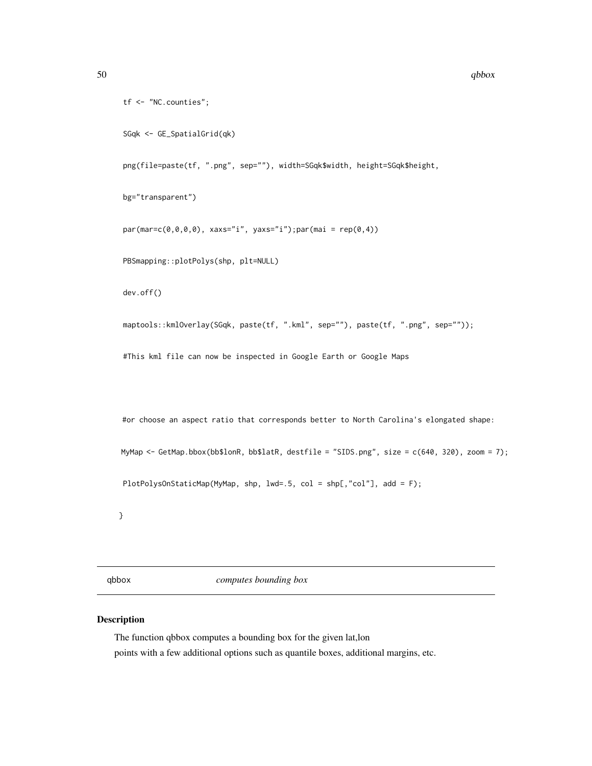```
tf <- "NC.counties";
```
SGqk <- GE\_SpatialGrid(qk)

png(file=paste(tf, ".png", sep=""), width=SGqk\$width, height=SGqk\$height,

bg="transparent")

 $par(max=c(0,0,0,0), xaxs="i", yaxs="i")$ ; par(mai = rep(0,4))

PBSmapping::plotPolys(shp, plt=NULL)

dev.off()

maptools::kmlOverlay(SGqk, paste(tf, ".kml", sep=""), paste(tf, ".png", sep=""));

#This kml file can now be inspected in Google Earth or Google Maps

#or choose an aspect ratio that corresponds better to North Carolina's elongated shape:

MyMap <- GetMap.bbox(bb\$lonR, bb\$latR, destfile = "SIDS.png", size = c(640, 320), zoom = 7);

PlotPolysOnStaticMap(MyMap, shp, lwd=.5, col = shp[,"col"], add = F);

}

qbbox *computes bounding box*

#### Description

The function qbbox computes a bounding box for the given lat,lon points with a few additional options such as quantile boxes, additional margins, etc.

<span id="page-49-0"></span>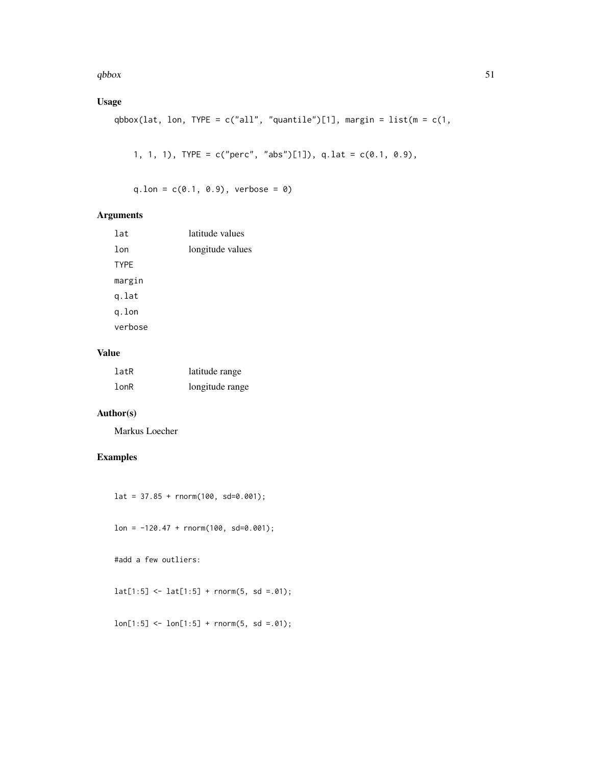$q_{\rm{b}}$ box 51

### Usage

```
qbbox(lat, lon, TYPE = c("all", "quantile")[1], margin = list(m = c(1,
```

```
1, 1, 1), TYPE = c("perc", "abs")[1]), q.lat = c(0.1, 0.9),
```
 $q.lon = c(0.1, 0.9),$  verbose = 0)

### Arguments

| lat         | latitude values  |
|-------------|------------------|
| lon         | longitude values |
| <b>TYPE</b> |                  |
| margin      |                  |
| g.lat       |                  |
| g.lon       |                  |
| verbose     |                  |
|             |                  |

### Value

| latR       | latitude range  |
|------------|-----------------|
| $l$ on $R$ | longitude range |

### Author(s)

Markus Loecher

### Examples

 $lat = 37.85 + rnorm(100, sd=0.001);$ 

 $lon = -120.47 + rnorm(100, sd=0.001);$ 

#add a few outliers:

 $lat[1:5] < -lat[1:5] + rnorm(5, sd = .01);$ 

 $lon[1:5] < -lon[1:5] + rnorm(5, sd = .01);$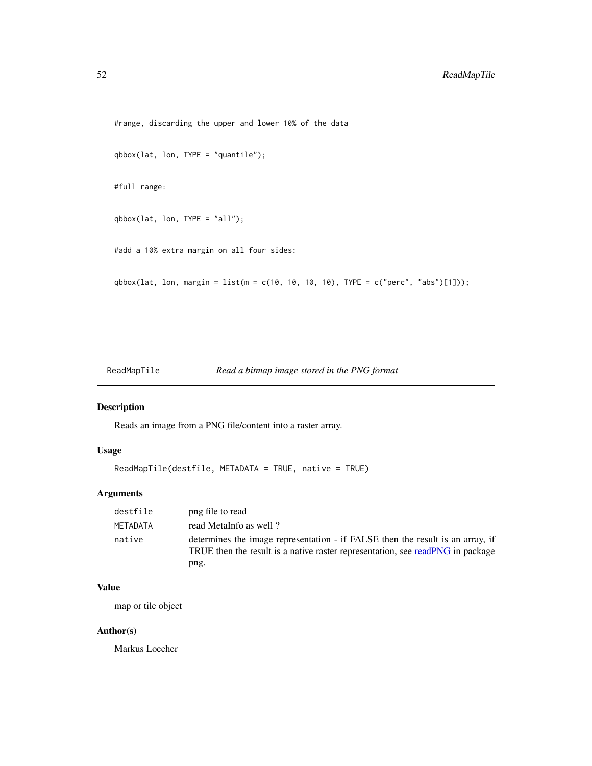```
#range, discarding the upper and lower 10% of the data
qbbox(lat, lon, TYPE = "quantile");
#full range:
qbbox(lat, lon, TYPE = "all");#add a 10% extra margin on all four sides:
qbbox(lat, lon, margin = list(m = c(10, 10, 10, 10), TYPE = c("perc", "abs")[1]));
```
ReadMapTile *Read a bitmap image stored in the PNG format*

### Description

Reads an image from a PNG file/content into a raster array.

### Usage

```
ReadMapTile(destfile, METADATA = TRUE, native = TRUE)
```
### Arguments

| destfile | png file to read                                                                                                                                                         |
|----------|--------------------------------------------------------------------------------------------------------------------------------------------------------------------------|
| METADATA | read MetaInfo as well?                                                                                                                                                   |
| native   | determines the image representation - if FALSE then the result is an array, if<br>TRUE then the result is a native raster representation, see readPNG in package<br>png. |

### Value

map or tile object

#### Author(s)

Markus Loecher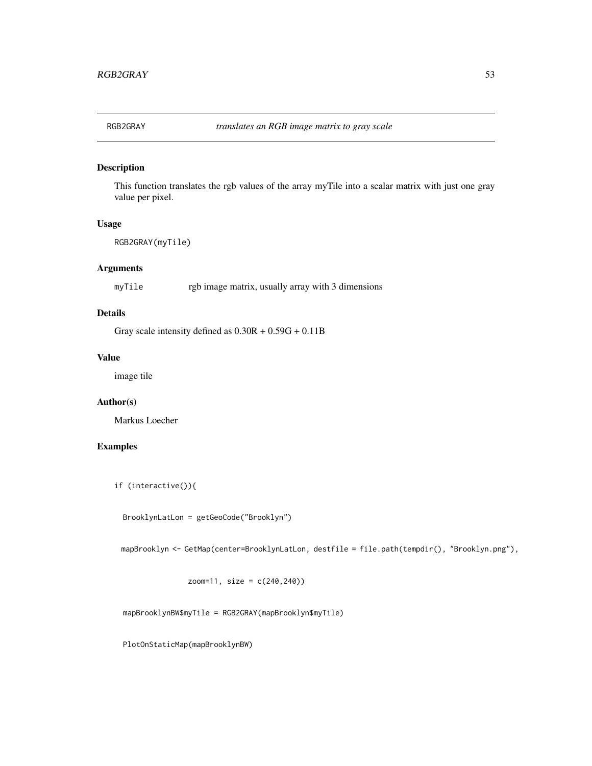<span id="page-52-1"></span><span id="page-52-0"></span>

This function translates the rgb values of the array myTile into a scalar matrix with just one gray value per pixel.

#### Usage

```
RGB2GRAY(myTile)
```
### Arguments

myTile rgb image matrix, usually array with 3 dimensions

### Details

Gray scale intensity defined as  $0.30R + 0.59G + 0.11B$ 

#### Value

image tile

### Author(s)

Markus Loecher

### Examples

if (interactive()){

BrooklynLatLon = getGeoCode("Brooklyn")

mapBrooklyn <- GetMap(center=BrooklynLatLon, destfile = file.path(tempdir(), "Brooklyn.png"),

zoom=11, size = c(240,240))

mapBrooklynBW\$myTile = RGB2GRAY(mapBrooklyn\$myTile)

PlotOnStaticMap(mapBrooklynBW)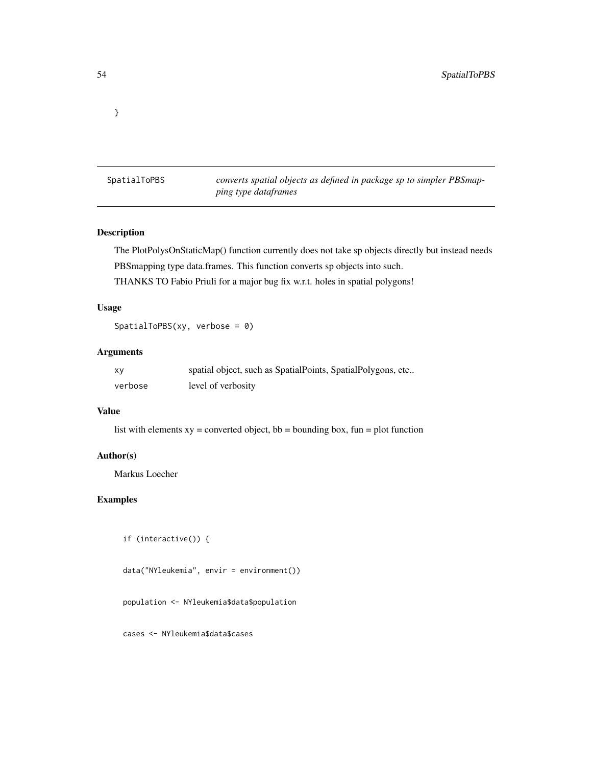<span id="page-53-0"></span>}

SpatialToPBS *converts spatial objects as defined in package sp to simpler PBSmapping type dataframes*

### Description

The PlotPolysOnStaticMap() function currently does not take sp objects directly but instead needs PBSmapping type data.frames. This function converts sp objects into such.

THANKS TO Fabio Priuli for a major bug fix w.r.t. holes in spatial polygons!

#### Usage

SpatialToPBS(xy, verbose = 0)

### Arguments

| xy      | spatial object, such as SpatialPoints, SpatialPolygons, etc |
|---------|-------------------------------------------------------------|
| verbose | level of verbosity                                          |

#### Value

list with elements  $xy =$  converted object, bb = bounding box, fun = plot function

### Author(s)

Markus Loecher

### Examples

```
if (interactive()) {
```

```
data("NYleukemia", envir = environment())
```
population <- NYleukemia\$data\$population

cases <- NYleukemia\$data\$cases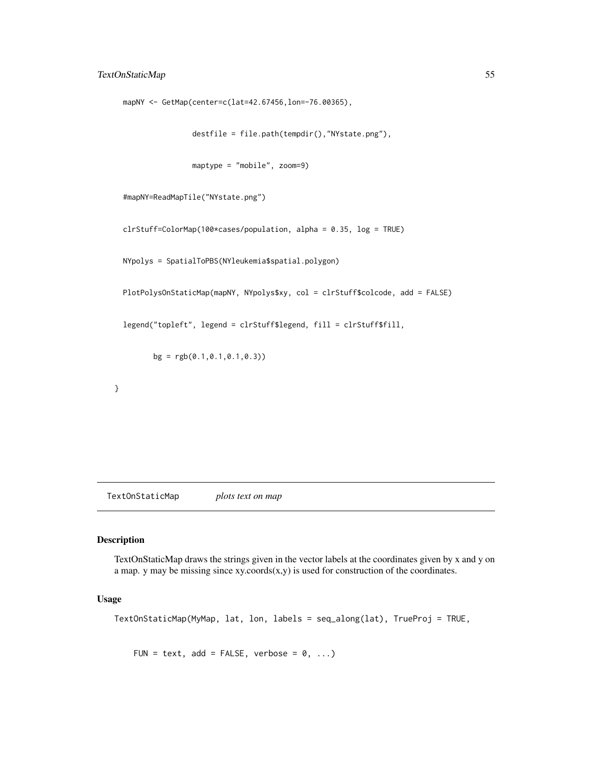### <span id="page-54-0"></span>TextOnStaticMap 55

```
mapNY <- GetMap(center=c(lat=42.67456,lon=-76.00365),
```

```
destfile = file.path(tempdir(),"NYstate.png"),
```

```
maptype = "mobile", zoom=9)
```

```
#mapNY=ReadMapTile("NYstate.png")
```
clrStuff=ColorMap(100\*cases/population, alpha = 0.35, log = TRUE)

NYpolys = SpatialToPBS(NYleukemia\$spatial.polygon)

PlotPolysOnStaticMap(mapNY, NYpolys\$xy, col = clrStuff\$colcode, add = FALSE)

```
legend("topleft", legend = clrStuff$legend, fill = clrStuff$fill,
```
 $bg = rgb(0.1, 0.1, 0.1, 0.3))$ 

}

TextOnStaticMap *plots text on map*

### Description

TextOnStaticMap draws the strings given in the vector labels at the coordinates given by x and y on a map. y may be missing since  $xy$ .coords $(x,y)$  is used for construction of the coordinates.

#### Usage

```
TextOnStaticMap(MyMap, lat, lon, labels = seq_along(lat), TrueProj = TRUE,
```
FUN = text, add = FALSE, verbose =  $0, ...$ )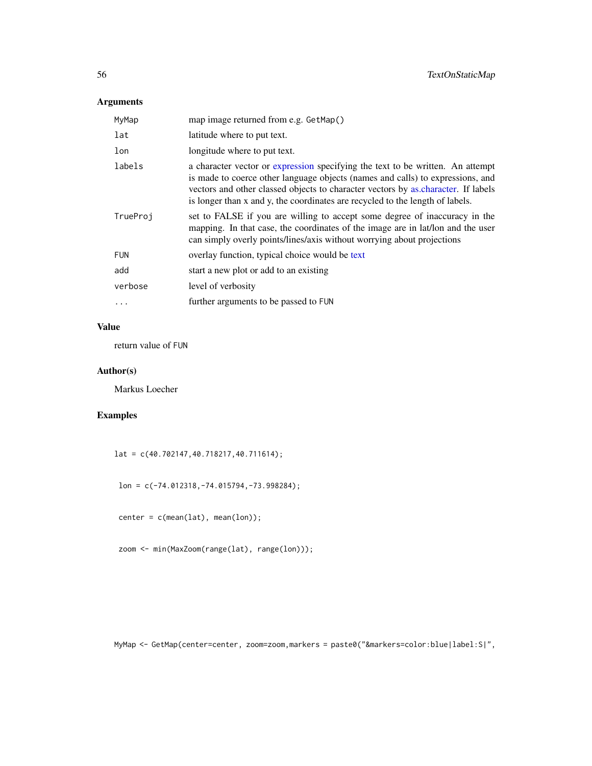### <span id="page-55-0"></span>Arguments

| MyMap      | map image returned from e.g. GetMap()                                                                                                                                                                                                                                                                                                  |
|------------|----------------------------------------------------------------------------------------------------------------------------------------------------------------------------------------------------------------------------------------------------------------------------------------------------------------------------------------|
| lat        | latitude where to put text.                                                                                                                                                                                                                                                                                                            |
| lon        | longitude where to put text.                                                                                                                                                                                                                                                                                                           |
| labels     | a character vector or expression specifying the text to be written. An attempt<br>is made to coerce other language objects (names and calls) to expressions, and<br>vectors and other classed objects to character vectors by as character. If labels<br>is longer than x and y, the coordinates are recycled to the length of labels. |
| TrueProj   | set to FALSE if you are willing to accept some degree of inaccuracy in the<br>mapping. In that case, the coordinates of the image are in lat/lon and the user<br>can simply overly points/lines/axis without worrying about projections                                                                                                |
| <b>FUN</b> | overlay function, typical choice would be text                                                                                                                                                                                                                                                                                         |
| add        | start a new plot or add to an existing                                                                                                                                                                                                                                                                                                 |
| verbose    | level of verbosity                                                                                                                                                                                                                                                                                                                     |
| $\cdots$   | further arguments to be passed to FUN                                                                                                                                                                                                                                                                                                  |

### Value

return value of FUN

### Author(s)

Markus Loecher

### Examples

lat = c(40.702147,40.718217,40.711614);

lon = c(-74.012318,-74.015794,-73.998284);

center = c(mean(lat), mean(lon));

zoom <- min(MaxZoom(range(lat), range(lon)));

MyMap <- GetMap(center=center, zoom=zoom,markers = paste0("&markers=color:blue|label:S|",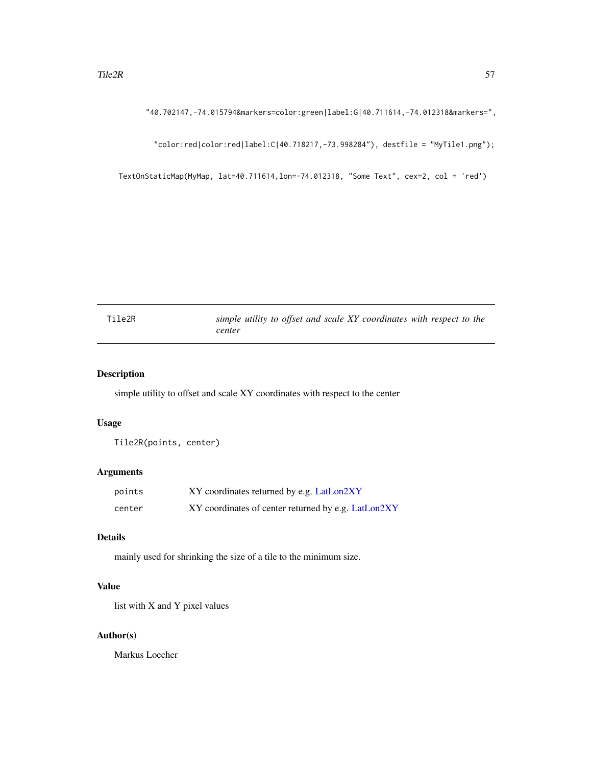<span id="page-56-0"></span>"40.702147,-74.015794&markers=color:green|label:G|40.711614,-74.012318&markers=",

"color:red|color:red|label:C|40.718217,-73.998284"), destfile = "MyTile1.png");

TextOnStaticMap(MyMap, lat=40.711614,lon=-74.012318, "Some Text", cex=2, col = 'red')

<span id="page-56-1"></span>

| Tile2R |        |  |  |  | simple utility to offset and scale XY coordinates with respect to the |  |  |
|--------|--------|--|--|--|-----------------------------------------------------------------------|--|--|
|        | center |  |  |  |                                                                       |  |  |

### Description

simple utility to offset and scale XY coordinates with respect to the center

#### Usage

Tile2R(points, center)

#### Arguments

| points | XY coordinates returned by e.g. LatLon2XY           |
|--------|-----------------------------------------------------|
| center | XY coordinates of center returned by e.g. LatLon2XY |

### Details

mainly used for shrinking the size of a tile to the minimum size.

### Value

list with X and Y pixel values

### Author(s)

Markus Loecher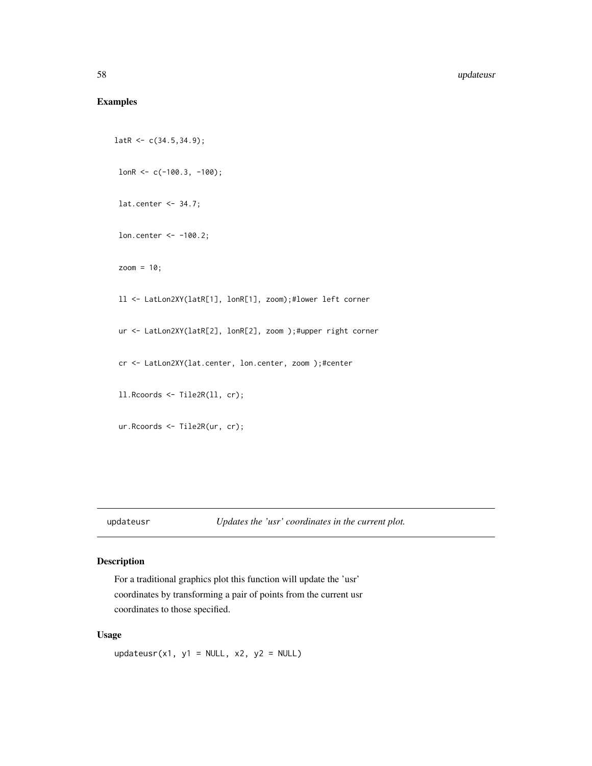### <span id="page-57-0"></span>Examples

```
latR < -c(34.5, 34.9);lonR <- c(-100.3, -100);
 lat.center <- 34.7;
 lon.center <- -100.2;
 zoom = 10;
 ll <- LatLon2XY(latR[1], lonR[1], zoom);#lower left corner
 ur <- LatLon2XY(latR[2], lonR[2], zoom );#upper right corner
 cr <- LatLon2XY(lat.center, lon.center, zoom );#center
 ll.Rcoords <- Tile2R(ll, cr);
 ur.Rcoords <- Tile2R(ur, cr);
```
updateusr *Updates the 'usr' coordinates in the current plot.*

### Description

For a traditional graphics plot this function will update the 'usr' coordinates by transforming a pair of points from the current usr coordinates to those specified.

#### Usage

updateusr(x1, y1 = NULL, x2, y2 = NULL)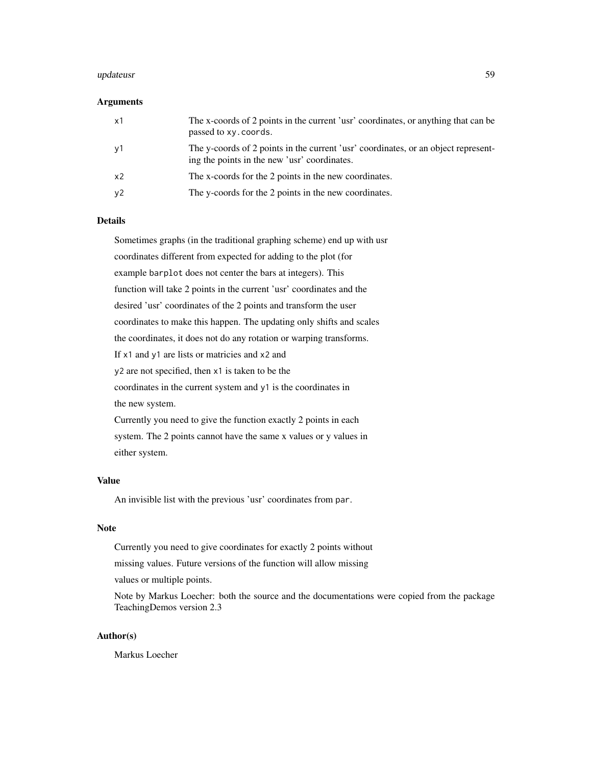#### updateusr 59

#### Arguments

| x1             | The x-coords of 2 points in the current 'usr' coordinates, or anything that can be<br>passed to xy. coords.                        |
|----------------|------------------------------------------------------------------------------------------------------------------------------------|
| y1             | The y-coords of 2 points in the current 'usr' coordinates, or an object represent-<br>ing the points in the new 'usr' coordinates. |
| x <sub>2</sub> | The x-coords for the 2 points in the new coordinates.                                                                              |
| y2             | The y-coords for the 2 points in the new coordinates.                                                                              |

#### Details

Sometimes graphs (in the traditional graphing scheme) end up with usr coordinates different from expected for adding to the plot (for example barplot does not center the bars at integers). This function will take 2 points in the current 'usr' coordinates and the desired 'usr' coordinates of the 2 points and transform the user coordinates to make this happen. The updating only shifts and scales the coordinates, it does not do any rotation or warping transforms. If x1 and y1 are lists or matricies and x2 and y2 are not specified, then x1 is taken to be the coordinates in the current system and y1 is the coordinates in the new system. Currently you need to give the function exactly 2 points in each system. The 2 points cannot have the same x values or y values in either system.

#### Value

An invisible list with the previous 'usr' coordinates from par.

#### Note

Currently you need to give coordinates for exactly 2 points without

missing values. Future versions of the function will allow missing

values or multiple points.

Note by Markus Loecher: both the source and the documentations were copied from the package TeachingDemos version 2.3

#### Author(s)

Markus Loecher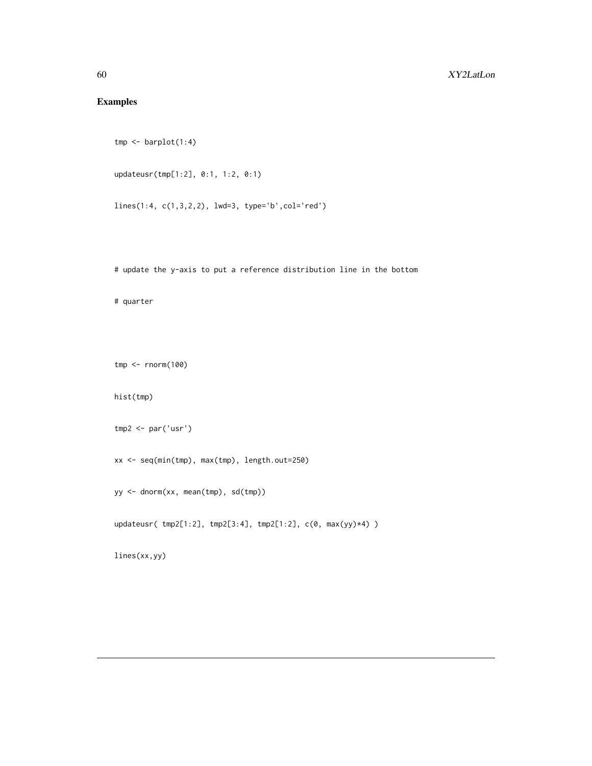### <span id="page-59-0"></span>Examples

```
tmp \leftarrow barplot(1:4)
```

```
updateusr(tmp[1:2], 0:1, 1:2, 0:1)
```
lines(1:4, c(1,3,2,2), lwd=3, type='b',col='red')

# update the y-axis to put a reference distribution line in the bottom

# quarter

tmp <- rnorm(100)

hist(tmp)

```
tmp2 <- par('usr')
```
xx <- seq(min(tmp), max(tmp), length.out=250)

yy <- dnorm(xx, mean(tmp), sd(tmp))

updateusr( tmp2[1:2], tmp2[3:4], tmp2[1:2], c(0, max(yy)\*4) )

lines(xx,yy)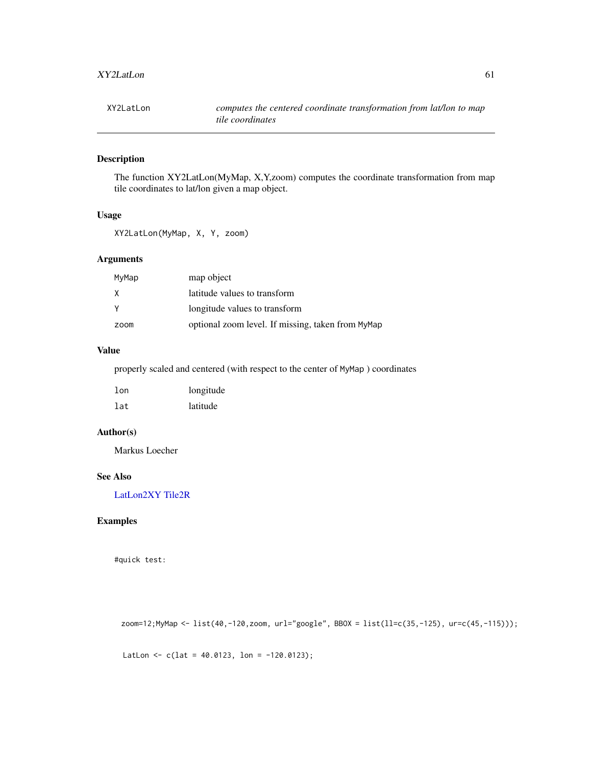<span id="page-60-0"></span>

The function XY2LatLon(MyMap, X,Y,zoom) computes the coordinate transformation from map tile coordinates to lat/lon given a map object.

### Usage

XY2LatLon(MyMap, X, Y, zoom)

### Arguments

| MyMap | map object                                        |
|-------|---------------------------------------------------|
| X     | latitude values to transform                      |
|       | longitude values to transform                     |
| zoom  | optional zoom level. If missing, taken from MyMap |

### Value

properly scaled and centered (with respect to the center of MyMap ) coordinates

| $1$ on | longitude |  |  |  |
|--------|-----------|--|--|--|
| lat    | latitude  |  |  |  |

### Author(s)

Markus Loecher

### See Also

[LatLon2XY](#page-32-1) [Tile2R](#page-56-1)

### Examples

#quick test:

zoom=12;MyMap <- list(40,-120,zoom, url="google", BBOX = list(ll=c(35,-125), ur=c(45,-115)));

LatLon  $\leq$  c(lat = 40.0123, lon = -120.0123);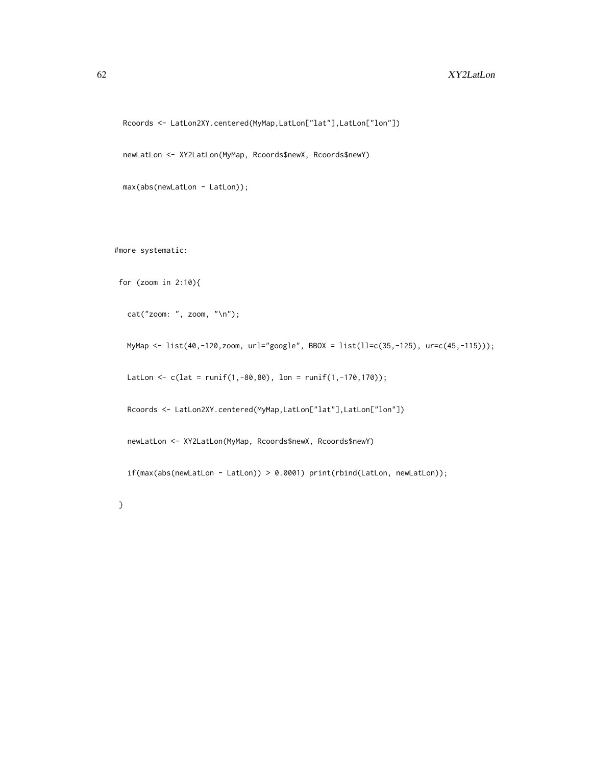```
Rcoords <- LatLon2XY.centered(MyMap,LatLon["lat"],LatLon["lon"])
```
newLatLon <- XY2LatLon(MyMap, Rcoords\$newX, Rcoords\$newY)

```
max(abs(newLatLon - LatLon));
```
#more systematic:

for (zoom in 2:10){

cat("zoom: ", zoom, "\n");

MyMap <- list(40,-120,zoom, url="google", BBOX = list(ll=c(35,-125), ur=c(45,-115)));

LatLon  $\leq c(lat = runif(1,-80,80), lon = runif(1,-170,170));$ 

Rcoords <- LatLon2XY.centered(MyMap,LatLon["lat"],LatLon["lon"])

newLatLon <- XY2LatLon(MyMap, Rcoords\$newX, Rcoords\$newY)

if(max(abs(newLatLon - LatLon)) > 0.0001) print(rbind(LatLon, newLatLon));